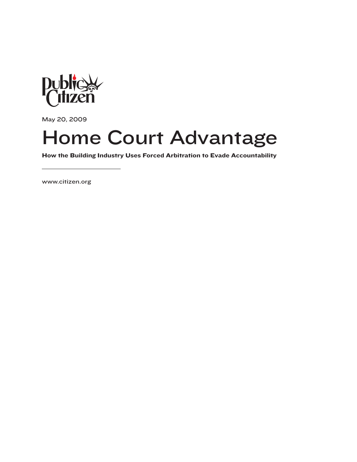

May 20, 2009

# Home Court Advantage

How the Building Industry Uses Forced Arbitration to Evade Accountability

www.citizen.org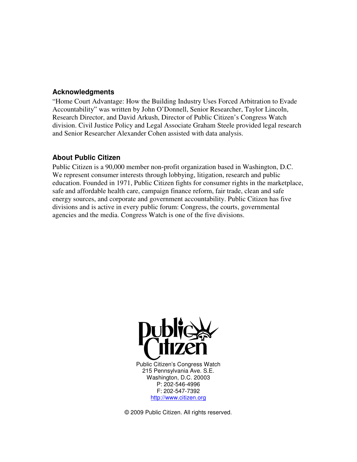#### **Acknowledgments**

"Home Court Advantage: How the Building Industry Uses Forced Arbitration to Evade Accountability" was written by John O'Donnell, Senior Researcher, Taylor Lincoln, Research Director, and David Arkush, Director of Public Citizen's Congress Watch division. Civil Justice Policy and Legal Associate Graham Steele provided legal research and Senior Researcher Alexander Cohen assisted with data analysis.

### **About Public Citizen**

Public Citizen is a 90,000 member non-profit organization based in Washington, D.C. We represent consumer interests through lobbying, litigation, research and public education. Founded in 1971, Public Citizen fights for consumer rights in the marketplace, safe and affordable health care, campaign finance reform, fair trade, clean and safe energy sources, and corporate and government accountability. Public Citizen has five divisions and is active in every public forum: Congress, the courts, governmental agencies and the media. Congress Watch is one of the five divisions.



© 2009 Public Citizen. All rights reserved.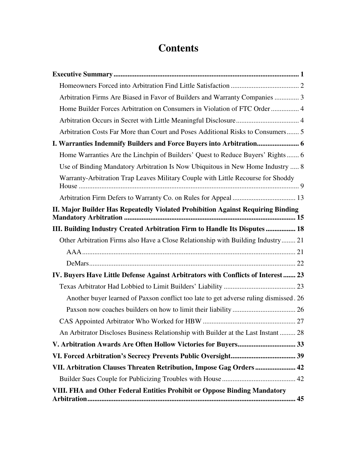# **Contents**

| Arbitration Firms Are Biased in Favor of Builders and Warranty Companies  3           |    |
|---------------------------------------------------------------------------------------|----|
| Home Builder Forces Arbitration on Consumers in Violation of FTC Order 4              |    |
|                                                                                       |    |
| Arbitration Costs Far More than Court and Poses Additional Risks to Consumers 5       |    |
|                                                                                       |    |
| Home Warranties Are the Linchpin of Builders' Quest to Reduce Buyers' Rights 6        |    |
| Use of Binding Mandatory Arbitration Is Now Ubiquitous in New Home Industry  8        |    |
| Warranty-Arbitration Trap Leaves Military Couple with Little Recourse for Shoddy      |    |
|                                                                                       |    |
| II. Major Builder Has Repeatedly Violated Prohibition Against Requiring Binding       |    |
| III. Building Industry Created Arbitration Firm to Handle Its Disputes  18            |    |
| Other Arbitration Firms also Have a Close Relationship with Building Industry 21      |    |
|                                                                                       |    |
|                                                                                       |    |
| IV. Buyers Have Little Defense Against Arbitrators with Conflicts of Interest 23      |    |
|                                                                                       |    |
| Another buyer learned of Paxson conflict too late to get adverse ruling dismissed. 26 |    |
|                                                                                       |    |
|                                                                                       |    |
| An Arbitrator Discloses Business Relationship with Builder at the Last Instant  28    |    |
|                                                                                       |    |
|                                                                                       |    |
| VII. Arbitration Clauses Threaten Retribution, Impose Gag Orders 42                   |    |
|                                                                                       |    |
| VIII. FHA and Other Federal Entities Prohibit or Oppose Binding Mandatory             | 45 |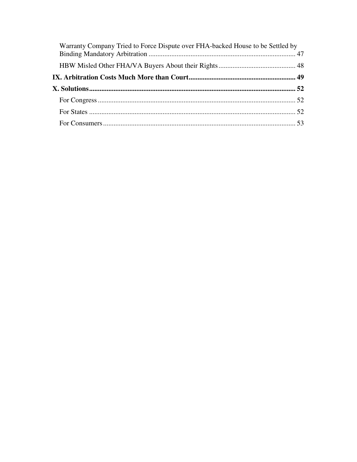| Warranty Company Tried to Force Dispute over FHA-backed House to be Settled by |  |
|--------------------------------------------------------------------------------|--|
|                                                                                |  |
|                                                                                |  |
|                                                                                |  |
|                                                                                |  |
|                                                                                |  |
|                                                                                |  |
|                                                                                |  |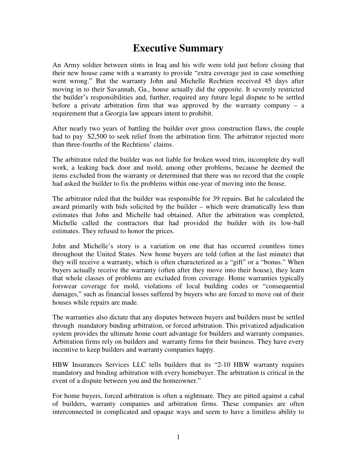### **Executive Summary**

An Army soldier between stints in Iraq and his wife were told just before closing that their new house came with a warranty to provide "extra coverage just in case something went wrong." But the warranty John and Michelle Rechtien received 45 days after moving in to their Savannah, Ga., house actually did the opposite. It severely restricted the builder's responsibilities and, further, required any future legal dispute to be settled before a private arbitration firm that was approved by the warranty company – a requirement that a Georgia law appears intent to prohibit.

After nearly two years of battling the builder over gross construction flaws, the couple had to pay \$2,500 to seek relief from the arbitration firm. The arbitrator rejected more than three-fourths of the Rechtiens' claims.

The arbitrator ruled the builder was not liable for broken wood trim, incomplete dry wall work, a leaking back door and mold, among other problems, because he deemed the items excluded from the warranty or determined that there was no record that the couple had asked the builder to fix the problems within one-year of moving into the house.

The arbitrator ruled that the builder was responsible for 39 repairs. But he calculated the award primarily with bids solicited by the builder – which were dramatically less than estimates that John and Michelle had obtained. After the arbitration was completed, Michelle called the contractors that had provided the builder with its low-ball estimates. They refused to honor the prices.

John and Michelle's story is a variation on one that has occurred countless times throughout the United States. New home buyers are told (often at the last minute) that they will receive a warranty, which is often characterized as a "gift" or a "bonus." When buyers actually receive the warranty (often after they move into their house), they learn that whole classes of problems are excluded from coverage. Home warranties typically forswear coverage for mold, violations of local building codes or "consequential damages," such as financial losses suffered by buyers who are forced to move out of their houses while repairs are made.

The warranties also dictate that any disputes between buyers and builders must be settled through mandatory binding arbitration, or forced arbitration. This privatized adjudication system provides the ultimate home court advantage for builders and warranty companies. Arbitration firms rely on builders and warranty firms for their business. They have every incentive to keep builders and warranty companies happy.

HBW Insurances Services LLC tells builders that its "2-10 HBW warranty requires mandatory and binding arbitration with every homebuyer. The arbitration is critical in the event of a dispute between you and the homeowner."

For home buyers, forced arbitration is often a nightmare. They are pitted against a cabal of builders, warranty companies and arbitration firms. These companies are often interconnected in complicated and opaque ways and seem to have a limitless ability to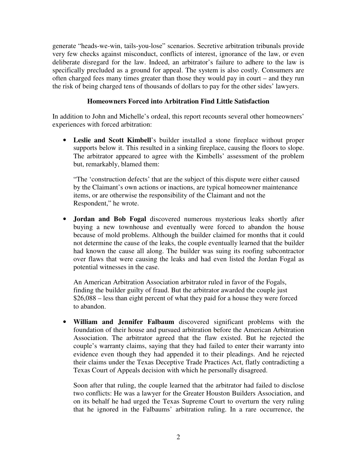generate "heads-we-win, tails-you-lose" scenarios. Secretive arbitration tribunals provide very few checks against misconduct, conflicts of interest, ignorance of the law, or even deliberate disregard for the law. Indeed, an arbitrator's failure to adhere to the law is specifically precluded as a ground for appeal. The system is also costly. Consumers are often charged fees many times greater than those they would pay in court – and they run the risk of being charged tens of thousands of dollars to pay for the other sides' lawyers.

#### **Homeowners Forced into Arbitration Find Little Satisfaction**

In addition to John and Michelle's ordeal, this report recounts several other homeowners' experiences with forced arbitration:

• **Leslie and Scott Kimbell**'s builder installed a stone fireplace without proper supports below it. This resulted in a sinking fireplace, causing the floors to slope. The arbitrator appeared to agree with the Kimbells' assessment of the problem but, remarkably, blamed them:

"The 'construction defects' that are the subject of this dispute were either caused by the Claimant's own actions or inactions, are typical homeowner maintenance items, or are otherwise the responsibility of the Claimant and not the Respondent," he wrote.

• **Jordan and Bob Fogal** discovered numerous mysterious leaks shortly after buying a new townhouse and eventually were forced to abandon the house because of mold problems. Although the builder claimed for months that it could not determine the cause of the leaks, the couple eventually learned that the builder had known the cause all along. The builder was suing its roofing subcontractor over flaws that were causing the leaks and had even listed the Jordan Fogal as potential witnesses in the case.

An American Arbitration Association arbitrator ruled in favor of the Fogals, finding the builder guilty of fraud. But the arbitrator awarded the couple just \$26,088 – less than eight percent of what they paid for a house they were forced to abandon.

• **William and Jennifer Falbaum** discovered significant problems with the foundation of their house and pursued arbitration before the American Arbitration Association. The arbitrator agreed that the flaw existed. But he rejected the couple's warranty claims, saying that they had failed to enter their warranty into evidence even though they had appended it to their pleadings. And he rejected their claims under the Texas Deceptive Trade Practices Act, flatly contradicting a Texas Court of Appeals decision with which he personally disagreed.

Soon after that ruling, the couple learned that the arbitrator had failed to disclose two conflicts: He was a lawyer for the Greater Houston Builders Association, and on its behalf he had urged the Texas Supreme Court to overturn the very ruling that he ignored in the Falbaums' arbitration ruling. In a rare occurrence, the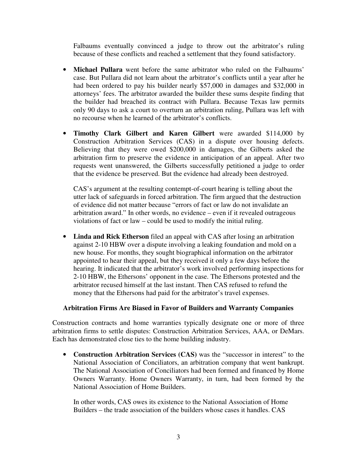Falbaums eventually convinced a judge to throw out the arbitrator's ruling because of these conflicts and reached a settlement that they found satisfactory.

- **Michael Pullara** went before the same arbitrator who ruled on the Falbaums' case. But Pullara did not learn about the arbitrator's conflicts until a year after he had been ordered to pay his builder nearly \$57,000 in damages and \$32,000 in attorneys' fees. The arbitrator awarded the builder these sums despite finding that the builder had breached its contract with Pullara. Because Texas law permits only 90 days to ask a court to overturn an arbitration ruling, Pullara was left with no recourse when he learned of the arbitrator's conflicts.
- **Timothy Clark Gilbert and Karen Gilbert** were awarded \$114,000 by Construction Arbitration Services (CAS) in a dispute over housing defects. Believing that they were owed \$200,000 in damages, the Gilberts asked the arbitration firm to preserve the evidence in anticipation of an appeal. After two requests went unanswered, the Gilberts successfully petitioned a judge to order that the evidence be preserved. But the evidence had already been destroyed.

CAS's argument at the resulting contempt-of-court hearing is telling about the utter lack of safeguards in forced arbitration. The firm argued that the destruction of evidence did not matter because "errors of fact or law do not invalidate an arbitration award." In other words, no evidence – even if it revealed outrageous violations of fact or law – could be used to modify the initial ruling.

• **Linda and Rick Etherson** filed an appeal with CAS after losing an arbitration against 2-10 HBW over a dispute involving a leaking foundation and mold on a new house. For months, they sought biographical information on the arbitrator appointed to hear their appeal, but they received it only a few days before the hearing. It indicated that the arbitrator's work involved performing inspections for 2-10 HBW, the Ethersons' opponent in the case. The Ethersons protested and the arbitrator recused himself at the last instant. Then CAS refused to refund the money that the Ethersons had paid for the arbitrator's travel expenses.

#### **Arbitration Firms Are Biased in Favor of Builders and Warranty Companies**

Construction contracts and home warranties typically designate one or more of three arbitration firms to settle disputes: Construction Arbitration Services, AAA, or DeMars. Each has demonstrated close ties to the home building industry.

• **Construction Arbitration Services (CAS)** was the "successor in interest" to the National Association of Conciliators, an arbitration company that went bankrupt. The National Association of Conciliators had been formed and financed by Home Owners Warranty. Home Owners Warranty, in turn, had been formed by the National Association of Home Builders.

In other words, CAS owes its existence to the National Association of Home Builders – the trade association of the builders whose cases it handles. CAS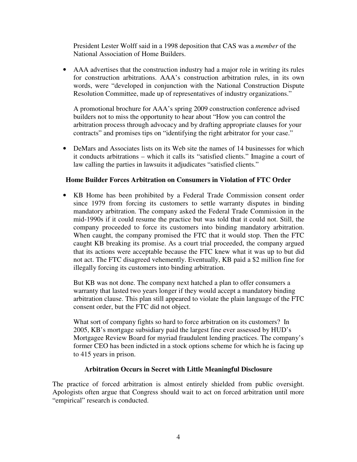President Lester Wolff said in a 1998 deposition that CAS was a *member* of the National Association of Home Builders.

• AAA advertises that the construction industry had a major role in writing its rules for construction arbitrations. AAA's construction arbitration rules, in its own words, were "developed in conjunction with the National Construction Dispute Resolution Committee, made up of representatives of industry organizations."

A promotional brochure for AAA's spring 2009 construction conference advised builders not to miss the opportunity to hear about "How you can control the arbitration process through advocacy and by drafting appropriate clauses for your contracts" and promises tips on "identifying the right arbitrator for your case."

• DeMars and Associates lists on its Web site the names of 14 businesses for which it conducts arbitrations – which it calls its "satisfied clients." Imagine a court of law calling the parties in lawsuits it adjudicates "satisfied clients."

#### **Home Builder Forces Arbitration on Consumers in Violation of FTC Order**

• KB Home has been prohibited by a Federal Trade Commission consent order since 1979 from forcing its customers to settle warranty disputes in binding mandatory arbitration. The company asked the Federal Trade Commission in the mid-1990s if it could resume the practice but was told that it could not. Still, the company proceeded to force its customers into binding mandatory arbitration. When caught, the company promised the FTC that it would stop. Then the FTC caught KB breaking its promise. As a court trial proceeded, the company argued that its actions were acceptable because the FTC knew what it was up to but did not act. The FTC disagreed vehemently. Eventually, KB paid a \$2 million fine for illegally forcing its customers into binding arbitration.

But KB was not done. The company next hatched a plan to offer consumers a warranty that lasted two years longer if they would accept a mandatory binding arbitration clause. This plan still appeared to violate the plain language of the FTC consent order, but the FTC did not object.

What sort of company fights so hard to force arbitration on its customers? In 2005, KB's mortgage subsidiary paid the largest fine ever assessed by HUD's Mortgagee Review Board for myriad fraudulent lending practices. The company's former CEO has been indicted in a stock options scheme for which he is facing up to 415 years in prison.

#### **Arbitration Occurs in Secret with Little Meaningful Disclosure**

The practice of forced arbitration is almost entirely shielded from public oversight. Apologists often argue that Congress should wait to act on forced arbitration until more "empirical" research is conducted.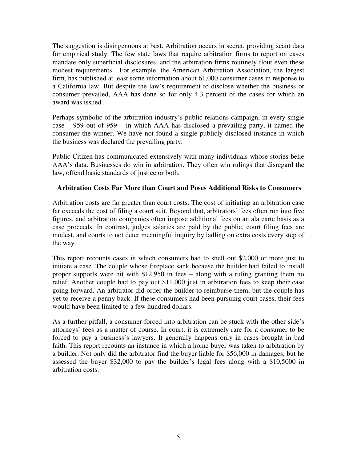The suggestion is disingenuous at best. Arbitration occurs in secret, providing scant data for empirical study. The few state laws that require arbitration firms to report on cases mandate only superficial disclosures, and the arbitration firms routinely flout even these modest requirements. For example, the American Arbitration Association, the largest firm, has published at least some information about 61,000 consumer cases in response to a California law. But despite the law's requirement to disclose whether the business or consumer prevailed, AAA has done so for only 4.3 percent of the cases for which an award was issued.

Perhaps symbolic of the arbitration industry's public relations campaign, in every single case – 959 out of 959 – in which AAA has disclosed a prevailing party, it named the consumer the winner. We have not found a single publicly disclosed instance in which the business was declared the prevailing party.

Public Citizen has communicated extensively with many individuals whose stories belie AAA's data. Businesses do win in arbitration. They often win rulings that disregard the law, offend basic standards of justice or both.

#### **Arbitration Costs Far More than Court and Poses Additional Risks to Consumers**

Arbitration costs are far greater than court costs. The cost of initiating an arbitration case far exceeds the cost of filing a court suit. Beyond that, arbitrators' fees often run into five figures, and arbitration companies often impose additional fees on an ala carte basis as a case proceeds. In contrast, judges salaries are paid by the public, court filing fees are modest, and courts to not deter meaningful inquiry by ladling on extra costs every step of the way.

This report recounts cases in which consumers had to shell out \$2,000 or more just to initiate a case. The couple whose fireplace sank because the builder had failed to install proper supports were hit with \$12,950 in fees – along with a ruling granting them no relief. Another couple had to pay out \$11,000 just in arbitration fees to keep their case going forward. An arbitrator did order the builder to reimburse them, but the couple has yet to receive a penny back. If these consumers had been pursuing court cases, their fees would have been limited to a few hundred dollars.

As a further pitfall, a consumer forced into arbitration can be stuck with the other side's attorneys' fees as a matter of course. In court, it is extremely rare for a consumer to be forced to pay a business's lawyers. It generally happens only in cases brought in bad faith. This report recounts an instance in which a home buyer was taken to arbitration by a builder. Not only did the arbitrator find the buyer liable for \$56,000 in damages, but he assessed the buyer \$32,000 to pay the builder's legal fees along with a \$10,5000 in arbitration costs.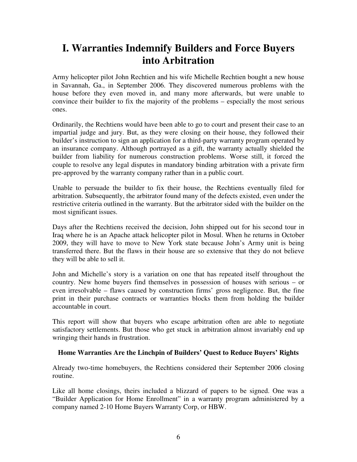# **I. Warranties Indemnify Builders and Force Buyers into Arbitration**

Army helicopter pilot John Rechtien and his wife Michelle Rechtien bought a new house in Savannah, Ga., in September 2006. They discovered numerous problems with the house before they even moved in, and many more afterwards, but were unable to convince their builder to fix the majority of the problems – especially the most serious ones.

Ordinarily, the Rechtiens would have been able to go to court and present their case to an impartial judge and jury. But, as they were closing on their house, they followed their builder's instruction to sign an application for a third-party warranty program operated by an insurance company. Although portrayed as a gift, the warranty actually shielded the builder from liability for numerous construction problems. Worse still, it forced the couple to resolve any legal disputes in mandatory binding arbitration with a private firm pre-approved by the warranty company rather than in a public court.

Unable to persuade the builder to fix their house, the Rechtiens eventually filed for arbitration. Subsequently, the arbitrator found many of the defects existed, even under the restrictive criteria outlined in the warranty. But the arbitrator sided with the builder on the most significant issues.

Days after the Rechtiens received the decision, John shipped out for his second tour in Iraq where he is an Apache attack helicopter pilot in Mosul. When he returns in October 2009, they will have to move to New York state because John's Army unit is being transferred there. But the flaws in their house are so extensive that they do not believe they will be able to sell it.

John and Michelle's story is a variation on one that has repeated itself throughout the country. New home buyers find themselves in possession of houses with serious – or even irresolvable – flaws caused by construction firms' gross negligence. But, the fine print in their purchase contracts or warranties blocks them from holding the builder accountable in court.

This report will show that buyers who escape arbitration often are able to negotiate satisfactory settlements. But those who get stuck in arbitration almost invariably end up wringing their hands in frustration.

### **Home Warranties Are the Linchpin of Builders' Quest to Reduce Buyers' Rights**

Already two-time homebuyers, the Rechtiens considered their September 2006 closing routine.

Like all home closings, theirs included a blizzard of papers to be signed. One was a "Builder Application for Home Enrollment" in a warranty program administered by a company named 2-10 Home Buyers Warranty Corp, or HBW.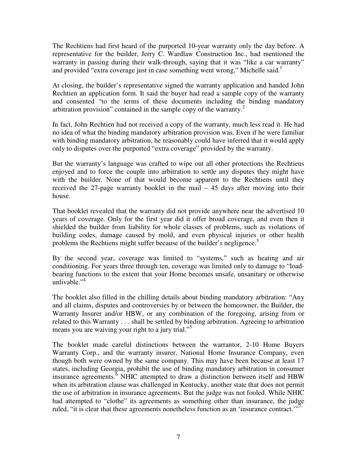The Rechtiens had first heard of the purported 10-year warranty only the day before. A representative for the builder, Jerry C. Wardlaw Construction Inc., had mentioned the warranty in passing during their walk-through, saying that it was "like a car warranty" and provided "extra coverage just in case something went wrong," Michelle said.<sup>1</sup>

At closing, the builder's representative signed the warranty application and handed John Rechtien an application form. It said the buyer had read a sample copy of the warranty and consented "to the terms of these documents including the binding mandatory arbitration provision" contained in the sample copy of the warranty.<sup>2</sup>

In fact, John Rechtien had not received a copy of the warranty, much less read it. He had no idea of what the binding mandatory arbitration provision was. Even if he were familiar with binding mandatory arbitration, he reasonably could have inferred that it would apply only to disputes over the purported "extra coverage" provided by the warranty.

But the warranty's language was crafted to wipe out all other protections the Rechtiens enjoyed and to force the couple into arbitration to settle any disputes they might have with the builder. None of that would become apparent to the Rechtiens until they received the 27-page warranty booklet in the mail – 45 days after moving into their house.

That booklet revealed that the warranty did not provide anywhere near the advertised 10 years of coverage. Only for the first year did it offer broad coverage, and even then it shielded the builder from liability for whole classes of problems, such as violations of building codes, damage caused by mold, and even physical injuries or other health problems the Rechtiens might suffer because of the builder's negligence. $3$ 

By the second year, coverage was limited to "systems," such as heating and air conditioning. For years three through ten, coverage was limited only to damage to "loadbearing functions to the extent that your Home becomes unsafe, unsanitary or otherwise unlivable." $4$ 

The booklet also filled in the chilling details about binding mandatory arbitration: "Any and all claims, disputes and controversies by or between the homeowner, the Builder, the Warranty Insurer and/or HBW, or any combination of the foregoing, arising from or related to this Warranty . . . shall be settled by binding arbitration. Agreeing to arbitration means you are waiving your right to a jury trial."<sup>5</sup>

The booklet made careful distinctions between the warrantor, 2-10 Home Buyers Warranty Corp., and the warranty insurer, National Home Insurance Company, even though both were owned by the same company. This may have been because at least 17 states, including Georgia, prohibit the use of binding mandatory arbitration in consumer insurance agreements.<sup> $\overline{6}$ </sup> NHIC attempted to draw a distinction between itself and HBW when its arbitration clause was challenged in Kentucky, another state that does not permit the use of arbitration in insurance agreements. But the judge was not fooled. While NHIC had attempted to "clothe" its agreements as something other than insurance, the judge ruled, "it is clear that these agreements nonetheless function as an 'insurance contract."<sup>7</sup>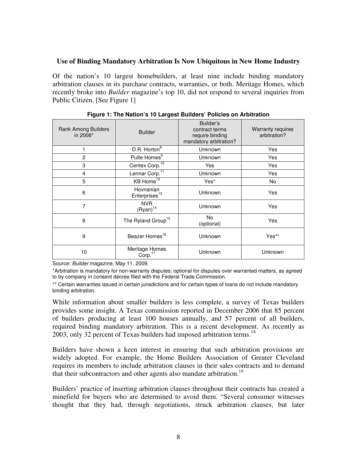#### **Use of Binding Mandatory Arbitration Is Now Ubiquitous in New Home Industry**

Of the nation's 10 largest homebuilders, at least nine include binding mandatory arbitration clauses in its purchase contracts, warranties, or both. Meritage Homes, which recently broke into *Builder* magazine's top 10, did not respond to several inquiries from Public Citizen. [See Figure 1]

| Rank Among Builders<br>in 2008* | <b>Builder</b>                         | Builder's<br>contract terms<br>require binding<br>mandatory arbitration? | <b>Warranty requires</b><br>arbitration? |
|---------------------------------|----------------------------------------|--------------------------------------------------------------------------|------------------------------------------|
|                                 | D.R. Horton <sup>8</sup>               | <b>Unknown</b>                                                           | Yes                                      |
| $\overline{2}$                  | Pulte Homes <sup>9</sup>               | Unknown                                                                  | Yes                                      |
| 3                               | Centex Corp. <sup>10</sup>             | Yes                                                                      | Yes                                      |
| $\overline{4}$                  | Lennar Corp. <sup>11</sup>             | Unknown                                                                  | Yes                                      |
| 5                               | KB Home <sup>12</sup>                  | Yes*                                                                     | No                                       |
| 6                               | Hovnanian<br>Enterprises <sup>13</sup> | Unknown                                                                  | Yes                                      |
| 7                               | <b>NVR</b><br>$(Ryan)^{14}$            | Unknown                                                                  | Yes                                      |
| 8                               | The Ryland Group <sup>15</sup>         | <b>No</b><br>(optional)                                                  | Yes                                      |
| 9                               | Beazer Homes <sup>16</sup>             | Unknown                                                                  | Yes**                                    |
| 10                              | Meritage Homes<br>Corp. <sup>17</sup>  | Unknown                                                                  | Unknown                                  |

**Figure 1: The Nation's 10 Largest Builders' Policies on Arbitration** 

Source: Builder magazine, May 11, 2009.

\*Arbitration is mandatory for non-warranty disputes; optional for disputes over warranted matters, as agreed to by company in consent decree filed with the Federal Trade Commission.

\*\* Certain warranties issued in certain jurisdictions and for certain types of loans do not include mandatory binding arbitration.

While information about smaller builders is less complete, a survey of Texas builders provides some insight. A Texas commission reported in December 2006 that 85 percent of builders producing at least 100 houses annually, and 57 percent of all builders, required binding mandatory arbitration. This is a recent development. As recently as 2003, only 32 percent of Texas builders had imposed arbitration terms.<sup>18</sup>

Builders have shown a keen interest in ensuring that such arbitration provisions are widely adopted. For example, the Home Builders Association of Greater Cleveland requires its members to include arbitration clauses in their sales contracts and to demand that their subcontractors and other agents also mandate arbitration.<sup>19</sup>

Builders' practice of inserting arbitration clauses throughout their contracts has created a minefield for buyers who are determined to avoid them. "Several consumer witnesses thought that they had, through negotiations, struck arbitration clauses, but later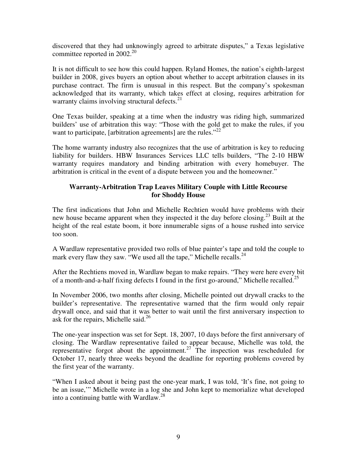discovered that they had unknowingly agreed to arbitrate disputes," a Texas legislative committee reported in  $2002^{20}$ 

It is not difficult to see how this could happen. Ryland Homes, the nation's eighth-largest builder in 2008, gives buyers an option about whether to accept arbitration clauses in its purchase contract. The firm is unusual in this respect. But the company's spokesman acknowledged that its warranty, which takes effect at closing, requires arbitration for warranty claims involving structural defects. $21$ 

One Texas builder, speaking at a time when the industry was riding high, summarized builders' use of arbitration this way: "Those with the gold get to make the rules, if you want to participate, [arbitration agreements] are the rules."<sup>22</sup>

The home warranty industry also recognizes that the use of arbitration is key to reducing liability for builders. HBW Insurances Services LLC tells builders, "The 2-10 HBW warranty requires mandatory and binding arbitration with every homebuyer. The arbitration is critical in the event of a dispute between you and the homeowner."

### **Warranty-Arbitration Trap Leaves Military Couple with Little Recourse for Shoddy House**

The first indications that John and Michelle Rechtien would have problems with their new house became apparent when they inspected it the day before closing.<sup>23</sup> Built at the height of the real estate boom, it bore innumerable signs of a house rushed into service too soon.

A Wardlaw representative provided two rolls of blue painter's tape and told the couple to mark every flaw they saw. "We used all the tape," Michelle recalls. $^{24}$ 

After the Rechtiens moved in, Wardlaw began to make repairs. "They were here every bit of a month-and-a-half fixing defects I found in the first go-around," Michelle recalled.<sup>25</sup>

In November 2006, two months after closing, Michelle pointed out drywall cracks to the builder's representative. The representative warned that the firm would only repair drywall once, and said that it was better to wait until the first anniversary inspection to ask for the repairs, Michelle said. $^{26}$ 

The one-year inspection was set for Sept. 18, 2007, 10 days before the first anniversary of closing. The Wardlaw representative failed to appear because, Michelle was told, the representative forgot about the appointment.<sup>27</sup> The inspection was rescheduled for October 17, nearly three weeks beyond the deadline for reporting problems covered by the first year of the warranty.

"When I asked about it being past the one-year mark, I was told, 'It's fine, not going to be an issue,'" Michelle wrote in a log she and John kept to memorialize what developed into a continuing battle with Wardlaw. $^{28}$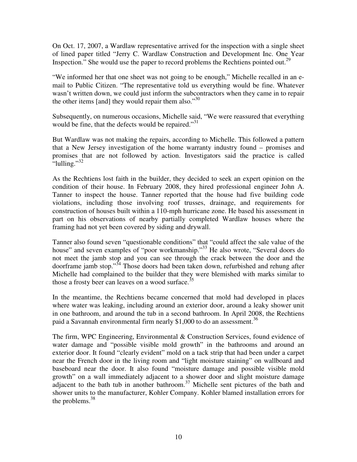On Oct. 17, 2007, a Wardlaw representative arrived for the inspection with a single sheet of lined paper titled "Jerry C. Wardlaw Construction and Development Inc. One Year Inspection." She would use the paper to record problems the Rechtiens pointed out.<sup>29</sup>

"We informed her that one sheet was not going to be enough," Michelle recalled in an email to Public Citizen. "The representative told us everything would be fine. Whatever wasn't written down, we could just inform the subcontractors when they came in to repair the other items [and] they would repair them also." $30$ 

Subsequently, on numerous occasions, Michelle said, "We were reassured that everything would be fine, that the defects would be repaired."<sup>31</sup>

But Wardlaw was not making the repairs, according to Michelle. This followed a pattern that a New Jersey investigation of the home warranty industry found – promises and promises that are not followed by action. Investigators said the practice is called  $\cdot$ 'lulling."<sup>32</sup>

As the Rechtiens lost faith in the builder, they decided to seek an expert opinion on the condition of their house. In February 2008, they hired professional engineer John A. Tanner to inspect the house. Tanner reported that the house had five building code violations, including those involving roof trusses, drainage, and requirements for construction of houses built within a 110-mph hurricane zone. He based his assessment in part on his observations of nearby partially completed Wardlaw houses where the framing had not yet been covered by siding and drywall.

Tanner also found seven "questionable conditions" that "could affect the sale value of the house" and seven examples of "poor workmanship."<sup>33</sup> He also wrote, "Several doors do not meet the jamb stop and you can see through the crack between the door and the doorframe jamb stop."<sup>34</sup> Those doors had been taken down, refurbished and rehung after Michelle had complained to the builder that they were blemished with marks similar to those a frosty beer can leaves on a wood surface.<sup>35</sup>

In the meantime, the Rechtiens became concerned that mold had developed in places where water was leaking, including around an exterior door, around a leaky shower unit in one bathroom, and around the tub in a second bathroom. In April 2008, the Rechtiens paid a Savannah environmental firm nearly \$1,000 to do an assessment.<sup>36</sup>

The firm, WPC Engineering, Environmental & Construction Services, found evidence of water damage and "possible visible mold growth" in the bathrooms and around an exterior door. It found "clearly evident" mold on a tack strip that had been under a carpet near the French door in the living room and "light moisture staining" on wallboard and baseboard near the door. It also found "moisture damage and possible visible mold growth" on a wall immediately adjacent to a shower door and slight moisture damage adjacent to the bath tub in another bathroom.<sup>37</sup> Michelle sent pictures of the bath and shower units to the manufacturer, Kohler Company. Kohler blamed installation errors for the problems. $38$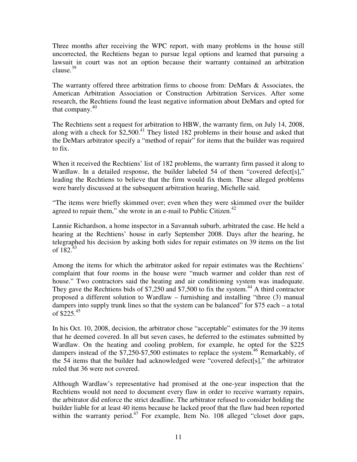Three months after receiving the WPC report, with many problems in the house still uncorrected, the Rechtiens began to pursue legal options and learned that pursuing a lawsuit in court was not an option because their warranty contained an arbitration clause.<sup>39</sup>

The warranty offered three arbitration firms to choose from: DeMars & Associates, the American Arbitration Association or Construction Arbitration Services. After some research, the Rechtiens found the least negative information about DeMars and opted for that company.<sup>40</sup>

The Rechtiens sent a request for arbitration to HBW, the warranty firm, on July 14, 2008, along with a check for  $$2,500<sup>41</sup>$  They listed 182 problems in their house and asked that the DeMars arbitrator specify a "method of repair" for items that the builder was required to fix.

When it received the Rechtiens' list of 182 problems, the warranty firm passed it along to Wardlaw. In a detailed response, the builder labeled 54 of them "covered defect[s]," leading the Rechtiens to believe that the firm would fix them. These alleged problems were barely discussed at the subsequent arbitration hearing, Michelle said.

"The items were briefly skimmed over; even when they were skimmed over the builder agreed to repair them," she wrote in an e-mail to Public Citizen. $42$ 

Lannie Richardson, a home inspector in a Savannah suburb, arbitrated the case. He held a hearing at the Rechtiens' house in early September 2008. Days after the hearing, he telegraphed his decision by asking both sides for repair estimates on 39 items on the list of  $182^{43}$ 

Among the items for which the arbitrator asked for repair estimates was the Rechtiens' complaint that four rooms in the house were "much warmer and colder than rest of house." Two contractors said the heating and air conditioning system was inadequate. They gave the Rechtiens bids of \$7,250 and \$7,500 to fix the system.<sup>44</sup> A third contractor proposed a different solution to Wardlaw – furnishing and installing "three (3) manual dampers into supply trunk lines so that the system can be balanced" for \$75 each – a total of  $\$225.^{45}$ 

In his Oct. 10, 2008, decision, the arbitrator chose "acceptable" estimates for the 39 items that he deemed covered. In all but seven cases, he deferred to the estimates submitted by Wardlaw. On the heating and cooling problem, for example, he opted for the \$225 dampers instead of the  $$7,250-\$7,500$  estimates to replace the system.<sup>46</sup> Remarkably, of the 54 items that the builder had acknowledged were "covered defect[s]," the arbitrator ruled that 36 were not covered.

Although Wardlaw's representative had promised at the one-year inspection that the Rechtiens would not need to document every flaw in order to receive warranty repairs, the arbitrator did enforce the strict deadline. The arbitrator refused to consider holding the builder liable for at least 40 items because he lacked proof that the flaw had been reported within the warranty period.<sup>47</sup> For example, Item No. 108 alleged "closet door gaps,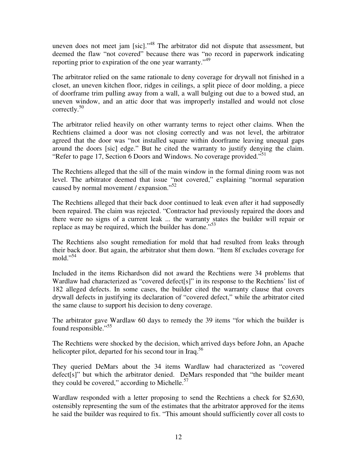uneven does not meet jam  $[sic]$ ."<sup>48</sup> The arbitrator did not dispute that assessment, but deemed the flaw "not covered" because there was "no record in paperwork indicating reporting prior to expiration of the one year warranty."<sup>49</sup>

The arbitrator relied on the same rationale to deny coverage for drywall not finished in a closet, an uneven kitchen floor, ridges in ceilings, a split piece of door molding, a piece of doorframe trim pulling away from a wall, a wall bulging out due to a bowed stud, an uneven window, and an attic door that was improperly installed and would not close correctly.<sup>50</sup>

The arbitrator relied heavily on other warranty terms to reject other claims. When the Rechtiens claimed a door was not closing correctly and was not level, the arbitrator agreed that the door was "not installed square within doorframe leaving unequal gaps around the doors [sic] edge." But he cited the warranty to justify denying the claim. "Refer to page 17, Section 6 Doors and Windows. No coverage provided."<sup>51</sup>

The Rechtiens alleged that the sill of the main window in the formal dining room was not level. The arbitrator deemed that issue "not covered," explaining "normal separation caused by normal movement / expansion."<sup>52</sup>

The Rechtiens alleged that their back door continued to leak even after it had supposedly been repaired. The claim was rejected. "Contractor had previously repaired the doors and there were no signs of a current leak ... the warranty states the builder will repair or replace as may be required, which the builder has done."<sup>53</sup>

The Rechtiens also sought remediation for mold that had resulted from leaks through their back door. But again, the arbitrator shut them down. "Item 8f excludes coverage for mold $"$ <sup>54</sup>

Included in the items Richardson did not award the Rechtiens were 34 problems that Wardlaw had characterized as "covered defect[s]" in its response to the Rechtiens' list of 182 alleged defects. In some cases, the builder cited the warranty clause that covers drywall defects in justifying its declaration of "covered defect," while the arbitrator cited the same clause to support his decision to deny coverage.

The arbitrator gave Wardlaw 60 days to remedy the 39 items "for which the builder is found responsible."<sup>55</sup>

The Rechtiens were shocked by the decision, which arrived days before John, an Apache helicopter pilot, departed for his second tour in Iraq.<sup>56</sup>

They queried DeMars about the 34 items Wardlaw had characterized as "covered defect[s]" but which the arbitrator denied. DeMars responded that "the builder meant they could be covered," according to Michelle. $57$ 

Wardlaw responded with a letter proposing to send the Rechtiens a check for \$2,630, ostensibly representing the sum of the estimates that the arbitrator approved for the items he said the builder was required to fix. "This amount should sufficiently cover all costs to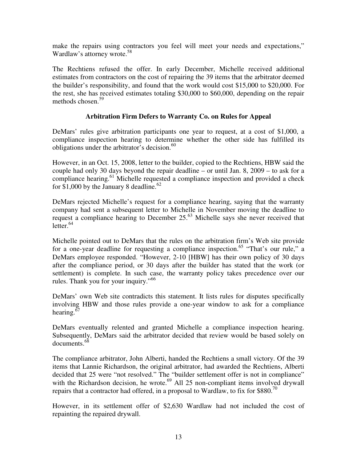make the repairs using contractors you feel will meet your needs and expectations," Wardlaw's attorney wrote.<sup>58</sup>

The Rechtiens refused the offer. In early December, Michelle received additional estimates from contractors on the cost of repairing the 39 items that the arbitrator deemed the builder's responsibility, and found that the work would cost \$15,000 to \$20,000. For the rest, she has received estimates totaling \$30,000 to \$60,000, depending on the repair methods chosen.<sup>59</sup>

### **Arbitration Firm Defers to Warranty Co. on Rules for Appeal**

DeMars' rules give arbitration participants one year to request, at a cost of \$1,000, a compliance inspection hearing to determine whether the other side has fulfilled its obligations under the arbitrator's decision.<sup>60</sup>

However, in an Oct. 15, 2008, letter to the builder, copied to the Rechtiens, HBW said the couple had only 30 days beyond the repair deadline – or until Jan. 8, 2009 – to ask for a compliance hearing.<sup>61</sup> Michelle requested a compliance inspection and provided a check for  $$1,000$  by the January 8 deadline.<sup>62</sup>

DeMars rejected Michelle's request for a compliance hearing, saying that the warranty company had sent a subsequent letter to Michelle in November moving the deadline to request a compliance hearing to December 25.<sup>63</sup> Michelle says she never received that letter. $64$ 

Michelle pointed out to DeMars that the rules on the arbitration firm's Web site provide for a one-year deadline for requesting a compliance inspection.<sup>65</sup> "That's our rule," a DeMars employee responded. "However, 2-10 [HBW] has their own policy of 30 days after the compliance period, or 30 days after the builder has stated that the work (or settlement) is complete. In such case, the warranty policy takes precedence over our rules. Thank you for your inquiry."<sup>66</sup>

DeMars' own Web site contradicts this statement. It lists rules for disputes specifically involving HBW and those rules provide a one-year window to ask for a compliance hearing.<sup>67</sup>

DeMars eventually relented and granted Michelle a compliance inspection hearing. Subsequently, DeMars said the arbitrator decided that review would be based solely on documents.<sup>68</sup>

The compliance arbitrator, John Alberti, handed the Rechtiens a small victory. Of the 39 items that Lannie Richardson, the original arbitrator, had awarded the Rechtiens, Alberti decided that 25 were "not resolved." The "builder settlement offer is not in compliance" with the Richardson decision, he wrote. $^{69}$  All 25 non-compliant items involved drywall repairs that a contractor had offered, in a proposal to Wardlaw, to fix for \$880.<sup>70</sup>

However, in its settlement offer of \$2,630 Wardlaw had not included the cost of repainting the repaired drywall.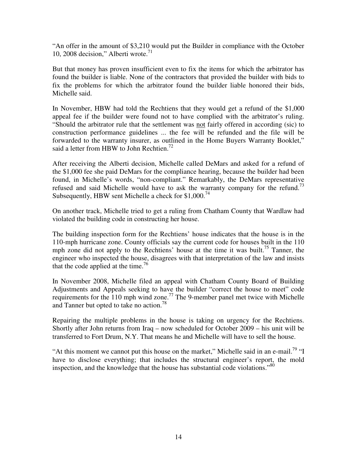"An offer in the amount of \$3,210 would put the Builder in compliance with the October 10, 2008 decision," Alberti wrote. $^{71}$ 

But that money has proven insufficient even to fix the items for which the arbitrator has found the builder is liable. None of the contractors that provided the builder with bids to fix the problems for which the arbitrator found the builder liable honored their bids, Michelle said.

In November, HBW had told the Rechtiens that they would get a refund of the \$1,000 appeal fee if the builder were found not to have complied with the arbitrator's ruling. "Should the arbitrator rule that the settlement was not fairly offered in according (sic) to construction performance guidelines ... the fee will be refunded and the file will be forwarded to the warranty insurer, as outlined in the Home Buyers Warranty Booklet," said a letter from HBW to John Rechtien.<sup>72</sup>

After receiving the Alberti decision, Michelle called DeMars and asked for a refund of the \$1,000 fee she paid DeMars for the compliance hearing, because the builder had been found, in Michelle's words, "non-compliant." Remarkably, the DeMars representative refused and said Michelle would have to ask the warranty company for the refund.<sup>73</sup> Subsequently, HBW sent Michelle a check for  $$1,000.<sup>74</sup>$ 

On another track, Michelle tried to get a ruling from Chatham County that Wardlaw had violated the building code in constructing her house.

The building inspection form for the Rechtiens' house indicates that the house is in the 110-mph hurricane zone. County officials say the current code for houses built in the 110 mph zone did not apply to the Rechtiens' house at the time it was built.<sup>75</sup> Tanner, the engineer who inspected the house, disagrees with that interpretation of the law and insists that the code applied at the time.<sup>76</sup>

In November 2008, Michelle filed an appeal with Chatham County Board of Building Adjustments and Appeals seeking to have the builder "correct the house to meet" code requirements for the 110 mph wind zone.<sup>77</sup> The 9-member panel met twice with Michelle and Tanner but opted to take no action.<sup>78</sup>

Repairing the multiple problems in the house is taking on urgency for the Rechtiens. Shortly after John returns from Iraq – now scheduled for October 2009 – his unit will be transferred to Fort Drum, N.Y. That means he and Michelle will have to sell the house.

"At this moment we cannot put this house on the market," Michelle said in an e-mail.<sup>79</sup> "I have to disclose everything; that includes the structural engineer's report, the mold inspection, and the knowledge that the house has substantial code violations."<sup>80</sup>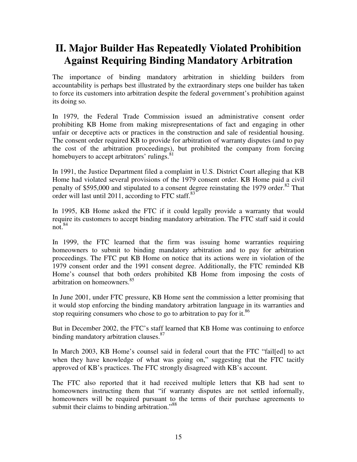# **II. Major Builder Has Repeatedly Violated Prohibition Against Requiring Binding Mandatory Arbitration**

The importance of binding mandatory arbitration in shielding builders from accountability is perhaps best illustrated by the extraordinary steps one builder has taken to force its customers into arbitration despite the federal government's prohibition against its doing so.

In 1979, the Federal Trade Commission issued an administrative consent order prohibiting KB Home from making misrepresentations of fact and engaging in other unfair or deceptive acts or practices in the construction and sale of residential housing. The consent order required KB to provide for arbitration of warranty disputes (and to pay the cost of the arbitration proceedings), but prohibited the company from forcing homebuyers to accept arbitrators' rulings.<sup>81</sup>

In 1991, the Justice Department filed a complaint in U.S. District Court alleging that KB Home had violated several provisions of the 1979 consent order. KB Home paid a civil penalty of \$595,000 and stipulated to a consent degree reinstating the 1979 order.<sup>82</sup> That order will last until 2011, according to FTC staff. $^{83}$ 

In 1995, KB Home asked the FTC if it could legally provide a warranty that would require its customers to accept binding mandatory arbitration. The FTC staff said it could not. $84$ 

In 1999, the FTC learned that the firm was issuing home warranties requiring homeowners to submit to binding mandatory arbitration and to pay for arbitration proceedings. The FTC put KB Home on notice that its actions were in violation of the 1979 consent order and the 1991 consent degree. Additionally, the FTC reminded KB Home's counsel that both orders prohibited KB Home from imposing the costs of arbitration on homeowners.<sup>85</sup>

In June 2001, under FTC pressure, KB Home sent the commission a letter promising that it would stop enforcing the binding mandatory arbitration language in its warranties and stop requiring consumers who chose to go to arbitration to pay for it.<sup>86</sup>

But in December 2002, the FTC's staff learned that KB Home was continuing to enforce binding mandatory arbitration clauses.<sup>87</sup>

In March 2003, KB Home's counsel said in federal court that the FTC "fail[ed] to act when they have knowledge of what was going on," suggesting that the FTC tacitly approved of KB's practices. The FTC strongly disagreed with KB's account.

The FTC also reported that it had received multiple letters that KB had sent to homeowners instructing them that "if warranty disputes are not settled informally, homeowners will be required pursuant to the terms of their purchase agreements to submit their claims to binding arbitration."<sup>88</sup>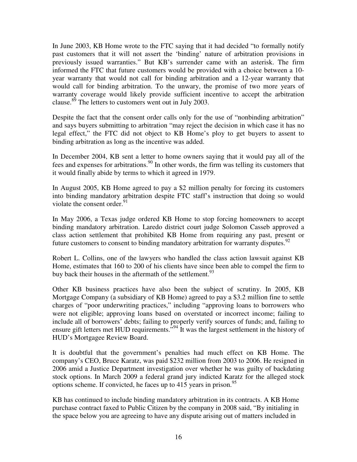In June 2003, KB Home wrote to the FTC saying that it had decided "to formally notify past customers that it will not assert the 'binding' nature of arbitration provisions in previously issued warranties." But KB's surrender came with an asterisk. The firm informed the FTC that future customers would be provided with a choice between a 10 year warranty that would not call for binding arbitration and a 12-year warranty that would call for binding arbitration. To the unwary, the promise of two more years of warranty coverage would likely provide sufficient incentive to accept the arbitration clause.<sup>89</sup> The letters to customers went out in July 2003.

Despite the fact that the consent order calls only for the use of "nonbinding arbitration" and says buyers submitting to arbitration "may reject the decision in which case it has no legal effect," the FTC did not object to KB Home's ploy to get buyers to assent to binding arbitration as long as the incentive was added.

In December 2004, KB sent a letter to home owners saying that it would pay all of the fees and expenses for arbitrations.  $90$  In other words, the firm was telling its customers that it would finally abide by terms to which it agreed in 1979.

In August 2005, KB Home agreed to pay a \$2 million penalty for forcing its customers into binding mandatory arbitration despite FTC staff's instruction that doing so would violate the consent order.<sup>91</sup>

In May 2006, a Texas judge ordered KB Home to stop forcing homeowners to accept binding mandatory arbitration. Laredo district court judge Solomon Casseb approved a class action settlement that prohibited KB Home from requiring any past, present or future customers to consent to binding mandatory arbitration for warranty disputes.  $92$ 

Robert L. Collins, one of the lawyers who handled the class action lawsuit against KB Home, estimates that 160 to 200 of his clients have since been able to compel the firm to buy back their houses in the aftermath of the settlement.  $93$ 

Other KB business practices have also been the subject of scrutiny. In 2005, KB Mortgage Company (a subsidiary of KB Home) agreed to pay a \$3.2 million fine to settle charges of "poor underwriting practices," including "approving loans to borrowers who were not eligible; approving loans based on overstated or incorrect income; failing to include all of borrowers' debts; failing to properly verify sources of funds; and, failing to ensure gift letters met HUD requirements."<sup>94</sup> It was the largest settlement in the history of HUD's Mortgagee Review Board.

It is doubtful that the government's penalties had much effect on KB Home. The company's CEO, Bruce Karatz, was paid \$232 million from 2003 to 2006. He resigned in 2006 amid a Justice Department investigation over whether he was guilty of backdating stock options. In March 2009 a federal grand jury indicted Karatz for the alleged stock options scheme. If convicted, he faces up to 415 years in prison.<sup>95</sup>

KB has continued to include binding mandatory arbitration in its contracts. A KB Home purchase contract faxed to Public Citizen by the company in 2008 said, "By initialing in the space below you are agreeing to have any dispute arising out of matters included in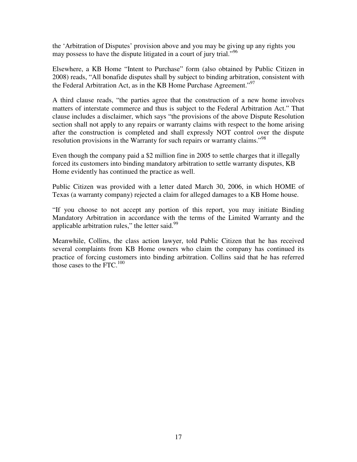the 'Arbitration of Disputes' provision above and you may be giving up any rights you may possess to have the dispute litigated in a court of jury trial."<sup>96</sup>

Elsewhere, a KB Home "Intent to Purchase" form (also obtained by Public Citizen in 2008) reads, "All bonafide disputes shall by subject to binding arbitration, consistent with the Federal Arbitration Act, as in the KB Home Purchase Agreement."<sup>97</sup>

A third clause reads, "the parties agree that the construction of a new home involves matters of interstate commerce and thus is subject to the Federal Arbitration Act." That clause includes a disclaimer, which says "the provisions of the above Dispute Resolution section shall not apply to any repairs or warranty claims with respect to the home arising after the construction is completed and shall expressly NOT control over the dispute resolution provisions in the Warranty for such repairs or warranty claims."<sup>98</sup>

Even though the company paid a \$2 million fine in 2005 to settle charges that it illegally forced its customers into binding mandatory arbitration to settle warranty disputes, KB Home evidently has continued the practice as well.

Public Citizen was provided with a letter dated March 30, 2006, in which HOME of Texas (a warranty company) rejected a claim for alleged damages to a KB Home house.

"If you choose to not accept any portion of this report, you may initiate Binding Mandatory Arbitration in accordance with the terms of the Limited Warranty and the applicable arbitration rules," the letter said. $99$ 

Meanwhile, Collins, the class action lawyer, told Public Citizen that he has received several complaints from KB Home owners who claim the company has continued its practice of forcing customers into binding arbitration. Collins said that he has referred those cases to the  $\text{FTC}$ <sup>100</sup>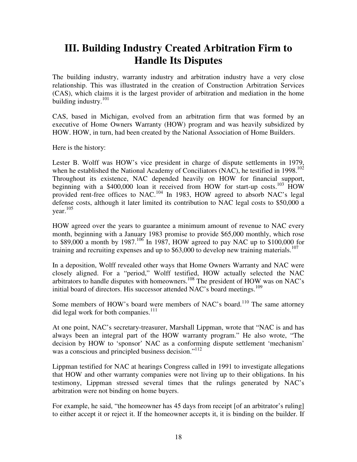### **III. Building Industry Created Arbitration Firm to Handle Its Disputes**

The building industry, warranty industry and arbitration industry have a very close relationship. This was illustrated in the creation of Construction Arbitration Services (CAS), which claims it is the largest provider of arbitration and mediation in the home building industry.<sup>101</sup>

CAS, based in Michigan, evolved from an arbitration firm that was formed by an executive of Home Owners Warranty (HOW) program and was heavily subsidized by HOW. HOW, in turn, had been created by the National Association of Home Builders.

Here is the history:

Lester B. Wolff was HOW's vice president in charge of dispute settlements in 1979, when he established the National Academy of Conciliators (NAC), he testified in 1998.<sup>102</sup> Throughout its existence, NAC depended heavily on HOW for financial support, beginning with a \$400,000 loan it received from HOW for start-up costs.<sup>103</sup> HOW provided rent-free offices to NAC.<sup>104</sup> In 1983, HOW agreed to absorb NAC's legal defense costs, although it later limited its contribution to NAC legal costs to \$50,000 a year. $105$ 

HOW agreed over the years to guarantee a minimum amount of revenue to NAC every month, beginning with a January 1983 promise to provide \$65,000 monthly, which rose to \$89,000 a month by 1987.<sup>106</sup> In 1987, HOW agreed to pay NAC up to \$100,000 for training and recruiting expenses and up to  $$63,000$  to develop new training materials.<sup>107</sup>

In a deposition, Wolff revealed other ways that Home Owners Warranty and NAC were closely aligned. For a "period," Wolff testified, HOW actually selected the NAC arbitrators to handle disputes with homeowners.<sup>108</sup> The president of HOW was on NAC's initial board of directors. His successor attended NAC's board meetings.<sup>109</sup>

Some members of HOW's board were members of NAC's board.<sup>110</sup> The same attorney did legal work for both companies.<sup>111</sup>

At one point, NAC's secretary-treasurer, Marshall Lippman, wrote that "NAC is and has always been an integral part of the HOW warranty program." He also wrote, "The decision by HOW to 'sponsor' NAC as a conforming dispute settlement 'mechanism' was a conscious and principled business decision."<sup>112</sup>

Lippman testified for NAC at hearings Congress called in 1991 to investigate allegations that HOW and other warranty companies were not living up to their obligations. In his testimony, Lippman stressed several times that the rulings generated by NAC's arbitration were not binding on home buyers.

For example, he said, "the homeowner has 45 days from receipt [of an arbitrator's ruling] to either accept it or reject it. If the homeowner accepts it, it is binding on the builder. If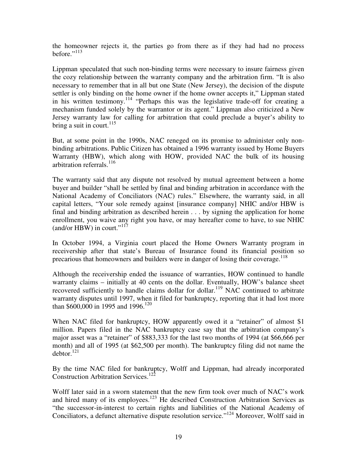the homeowner rejects it, the parties go from there as if they had had no process before." $^{113}$ 

Lippman speculated that such non-binding terms were necessary to insure fairness given the cozy relationship between the warranty company and the arbitration firm. "It is also necessary to remember that in all but one State (New Jersey), the decision of the dispute settler is only binding on the home owner if the home owner accepts it," Lippman stated in his written testimony.<sup>114</sup> "Perhaps this was the legislative trade-off for creating a mechanism funded solely by the warrantor or its agent." Lippman also criticized a New Jersey warranty law for calling for arbitration that could preclude a buyer's ability to bring a suit in court. $^{115}$ 

But, at some point in the 1990s, NAC reneged on its promise to administer only nonbinding arbitrations. Public Citizen has obtained a 1996 warranty issued by Home Buyers Warranty (HBW), which along with HOW, provided NAC the bulk of its housing arbitration referrals.<sup>116</sup>

The warranty said that any dispute not resolved by mutual agreement between a home buyer and builder "shall be settled by final and binding arbitration in accordance with the National Academy of Conciliators (NAC) rules." Elsewhere, the warranty said, in all capital letters, "Your sole remedy against [insurance company] NHIC and/or HBW is final and binding arbitration as described herein . . . by signing the application for home enrollment, you waive any right you have, or may hereafter come to have, to sue NHIC (and/or HBW) in court." $117$ 

In October 1994, a Virginia court placed the Home Owners Warranty program in receivership after that state's Bureau of Insurance found its financial position so precarious that homeowners and builders were in danger of losing their coverage.<sup>118</sup>

Although the receivership ended the issuance of warranties, HOW continued to handle warranty claims – initially at 40 cents on the dollar. Eventually, HOW's balance sheet recovered sufficiently to handle claims dollar for dollar.<sup>119</sup> NAC continued to arbitrate warranty disputes until 1997, when it filed for bankruptcy, reporting that it had lost more than \$600,000 in 1995 and 1996.<sup>120</sup>

When NAC filed for bankruptcy, HOW apparently owed it a "retainer" of almost \$1 million. Papers filed in the NAC bankruptcy case say that the arbitration company's major asset was a "retainer" of \$883,333 for the last two months of 1994 (at \$66,666 per month) and all of 1995 (at \$62,500 per month). The bankruptcy filing did not name the  $dektor.<sup>121</sup>$ 

By the time NAC filed for bankruptcy, Wolff and Lippman, had already incorporated Construction Arbitration Services.<sup>122</sup>

Wolff later said in a sworn statement that the new firm took over much of NAC's work and hired many of its employees.<sup>123</sup> He described Construction Arbitration Services as "the successor-in-interest to certain rights and liabilities of the National Academy of Conciliators, a defunct alternative dispute resolution service."<sup>124</sup> Moreover, Wolff said in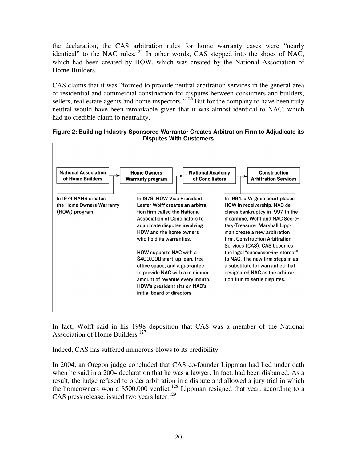the declaration, the CAS arbitration rules for home warranty cases were "nearly identical" to the NAC rules.<sup>125</sup> In other words, CAS stepped into the shoes of NAC, which had been created by HOW, which was created by the National Association of Home Builders.

CAS claims that it was "formed to provide neutral arbitration services in the general area of residential and commercial construction for disputes between consumers and builders, sellers, real estate agents and home inspectors."<sup>126</sup> But for the company to have been truly neutral would have been remarkable given that it was almost identical to NAC, which had no credible claim to neutrality.





In fact, Wolff said in his 1998 deposition that CAS was a member of the National Association of Home Builders.<sup>127</sup>

Indeed, CAS has suffered numerous blows to its credibility.

In 2004, an Oregon judge concluded that CAS co-founder Lippman had lied under oath when he said in a 2004 declaration that he was a lawyer. In fact, had been disbarred. As a result, the judge refused to order arbitration in a dispute and allowed a jury trial in which the homeowners won a  $$500,000$  verdict.<sup>128</sup> Lippman resigned that year, according to a CAS press release, issued two years later.<sup>129</sup>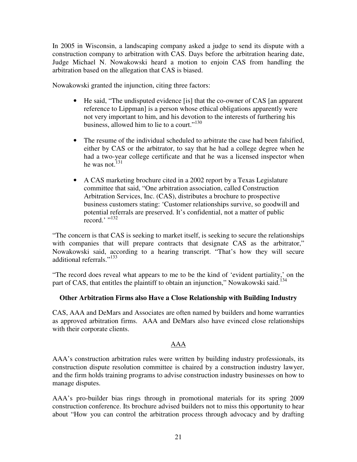In 2005 in Wisconsin, a landscaping company asked a judge to send its dispute with a construction company to arbitration with CAS. Days before the arbitration hearing date, Judge Michael N. Nowakowski heard a motion to enjoin CAS from handling the arbitration based on the allegation that CAS is biased.

Nowakowski granted the injunction, citing three factors:

- He said, "The undisputed evidence [is] that the co-owner of CAS [an apparent reference to Lippman] is a person whose ethical obligations apparently were not very important to him, and his devotion to the interests of furthering his business, allowed him to lie to a court."<sup>130</sup>
- The resume of the individual scheduled to arbitrate the case had been falsified, either by CAS or the arbitrator, to say that he had a college degree when he had a two-year college certificate and that he was a licensed inspector when he was not. $131$
- A CAS marketing brochure cited in a 2002 report by a Texas Legislature committee that said, "One arbitration association, called Construction Arbitration Services, Inc. (CAS), distributes a brochure to prospective business customers stating: 'Customer relationships survive, so goodwill and potential referrals are preserved. It's confidential, not a matter of public record.' "<sup>132</sup>

"The concern is that CAS is seeking to market itself, is seeking to secure the relationships with companies that will prepare contracts that designate CAS as the arbitrator," Nowakowski said, according to a hearing transcript. "That's how they will secure additional referrals."<sup>133</sup>

"The record does reveal what appears to me to be the kind of 'evident partiality,' on the part of CAS, that entitles the plaintiff to obtain an injunction," Nowakowski said.<sup>134</sup>

### **Other Arbitration Firms also Have a Close Relationship with Building Industry**

CAS, AAA and DeMars and Associates are often named by builders and home warranties as approved arbitration firms. AAA and DeMars also have evinced close relationships with their corporate clients.

### AAA

AAA's construction arbitration rules were written by building industry professionals, its construction dispute resolution committee is chaired by a construction industry lawyer, and the firm holds training programs to advise construction industry businesses on how to manage disputes.

AAA's pro-builder bias rings through in promotional materials for its spring 2009 construction conference. Its brochure advised builders not to miss this opportunity to hear about "How you can control the arbitration process through advocacy and by drafting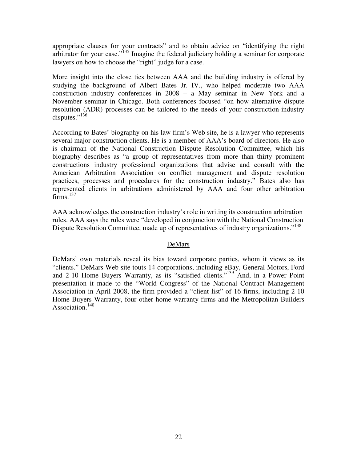appropriate clauses for your contracts" and to obtain advice on "identifying the right arbitrator for your case."<sup>135</sup> Imagine the federal judiciary holding a seminar for corporate lawyers on how to choose the "right" judge for a case.

More insight into the close ties between AAA and the building industry is offered by studying the background of Albert Bates Jr. IV., who helped moderate two AAA construction industry conferences in 2008 – a May seminar in New York and a November seminar in Chicago. Both conferences focused "on how alternative dispute resolution (ADR) processes can be tailored to the needs of your construction-industry disputes."<sup>136</sup>

According to Bates' biography on his law firm's Web site, he is a lawyer who represents several major construction clients. He is a member of AAA's board of directors. He also is chairman of the National Construction Dispute Resolution Committee, which his biography describes as "a group of representatives from more than thirty prominent constructions industry professional organizations that advise and consult with the American Arbitration Association on conflict management and dispute resolution practices, processes and procedures for the construction industry." Bates also has represented clients in arbitrations administered by AAA and four other arbitration  $firms.$ <sup>137</sup>

AAA acknowledges the construction industry's role in writing its construction arbitration rules. AAA says the rules were "developed in conjunction with the National Construction Dispute Resolution Committee, made up of representatives of industry organizations."<sup>138</sup>

#### DeMars

DeMars' own materials reveal its bias toward corporate parties, whom it views as its "clients." DeMars Web site touts 14 corporations, including eBay, General Motors, Ford and 2-10 Home Buyers Warranty, as its "satisfied clients."<sup>139</sup> And, in a Power Point presentation it made to the "World Congress" of the National Contract Management Association in April 2008, the firm provided a "client list" of 16 firms, including 2-10 Home Buyers Warranty, four other home warranty firms and the Metropolitan Builders Association.<sup>140</sup>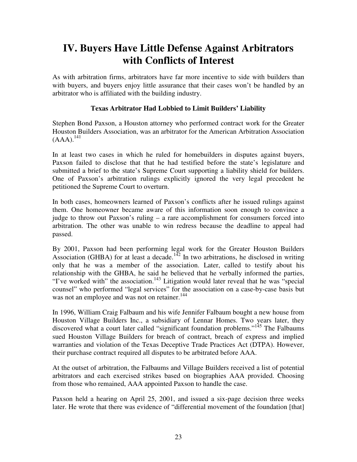# **IV. Buyers Have Little Defense Against Arbitrators with Conflicts of Interest**

As with arbitration firms, arbitrators have far more incentive to side with builders than with buyers, and buyers enjoy little assurance that their cases won't be handled by an arbitrator who is affiliated with the building industry.

### **Texas Arbitrator Had Lobbied to Limit Builders' Liability**

Stephen Bond Paxson, a Houston attorney who performed contract work for the Greater Houston Builders Association, was an arbitrator for the American Arbitration Association  $(AAA).^{141}$ 

In at least two cases in which he ruled for homebuilders in disputes against buyers, Paxson failed to disclose that that he had testified before the state's legislature and submitted a brief to the state's Supreme Court supporting a liability shield for builders. One of Paxson's arbitration rulings explicitly ignored the very legal precedent he petitioned the Supreme Court to overturn.

In both cases, homeowners learned of Paxson's conflicts after he issued rulings against them. One homeowner became aware of this information soon enough to convince a judge to throw out Paxson's ruling – a rare accomplishment for consumers forced into arbitration. The other was unable to win redress because the deadline to appeal had passed.

By 2001, Paxson had been performing legal work for the Greater Houston Builders Association (GHBA) for at least a decade.<sup>142</sup> In two arbitrations, he disclosed in writing only that he was a member of the association. Later, called to testify about his relationship with the GHBA, he said he believed that he verbally informed the parties, "I've worked with" the association.<sup>143</sup> Litigation would later reveal that he was "special" counsel" who performed "legal services" for the association on a case-by-case basis but was not an employee and was not on retainer.<sup>144</sup>

In 1996, William Craig Falbaum and his wife Jennifer Falbaum bought a new house from Houston Village Builders Inc., a subsidiary of Lennar Homes. Two years later, they discovered what a court later called "significant foundation problems."<sup>145</sup> The Falbaums sued Houston Village Builders for breach of contract, breach of express and implied warranties and violation of the Texas Deceptive Trade Practices Act (DTPA). However, their purchase contract required all disputes to be arbitrated before AAA.

At the outset of arbitration, the Falbaums and Village Builders received a list of potential arbitrators and each exercised strikes based on biographies AAA provided. Choosing from those who remained, AAA appointed Paxson to handle the case.

Paxson held a hearing on April 25, 2001, and issued a six-page decision three weeks later. He wrote that there was evidence of "differential movement of the foundation [that]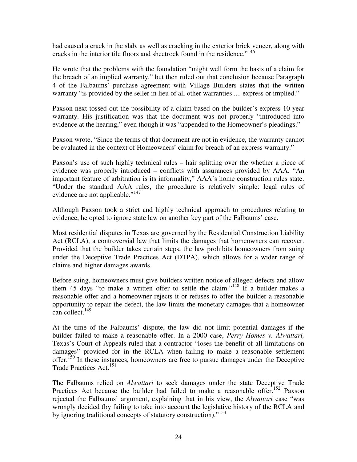had caused a crack in the slab, as well as cracking in the exterior brick veneer, along with cracks in the interior tile floors and sheetrock found in the residence."<sup>146</sup>

He wrote that the problems with the foundation "might well form the basis of a claim for the breach of an implied warranty," but then ruled out that conclusion because Paragraph 4 of the Falbaums' purchase agreement with Village Builders states that the written warranty "is provided by the seller in lieu of all other warranties .... express or implied."

Paxson next tossed out the possibility of a claim based on the builder's express 10-year warranty. His justification was that the document was not properly "introduced into evidence at the hearing," even though it was "appended to the Homeowner's pleadings."

Paxson wrote, "Since the terms of that document are not in evidence, the warranty cannot be evaluated in the context of Homeowners' claim for breach of an express warranty."

Paxson's use of such highly technical rules – hair splitting over the whether a piece of evidence was properly introduced – conflicts with assurances provided by AAA. "An important feature of arbitration is its informality," AAA's home construction rules state. "Under the standard AAA rules, the procedure is relatively simple: legal rules of evidence are not applicable."<sup>147</sup>

Although Paxson took a strict and highly technical approach to procedures relating to evidence, he opted to ignore state law on another key part of the Falbaums' case.

Most residential disputes in Texas are governed by the Residential Construction Liability Act (RCLA), a controversial law that limits the damages that homeowners can recover. Provided that the builder takes certain steps, the law prohibits homeowners from suing under the Deceptive Trade Practices Act (DTPA), which allows for a wider range of claims and higher damages awards.

Before suing, homeowners must give builders written notice of alleged defects and allow them 45 days "to make a written offer to settle the claim."<sup>148</sup> If a builder makes a reasonable offer and a homeowner rejects it or refuses to offer the builder a reasonable opportunity to repair the defect, the law limits the monetary damages that a homeowner can collect.<sup>149</sup>

At the time of the Falbaums' dispute, the law did not limit potential damages if the builder failed to make a reasonable offer. In a 2000 case, *Perry Homes v. Alwattari,* Texas's Court of Appeals ruled that a contractor "loses the benefit of all limitations on damages" provided for in the RCLA when failing to make a reasonable settlement offer.<sup>150</sup> In these instances, homeowners are free to pursue damages under the Deceptive Trade Practices Act.<sup>151</sup>

The Falbaums relied on *Alwattari* to seek damages under the state Deceptive Trade Practices Act because the builder had failed to make a reasonable offer.<sup>152</sup> Paxson rejected the Falbaums' argument, explaining that in his view, the *Alwattari* case "was wrongly decided (by failing to take into account the legislative history of the RCLA and by ignoring traditional concepts of statutory construction)."<sup>153</sup>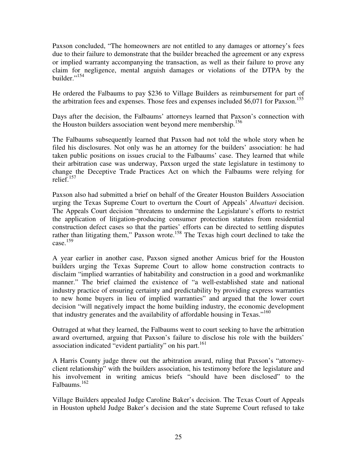Paxson concluded, "The homeowners are not entitled to any damages or attorney's fees due to their failure to demonstrate that the builder breached the agreement or any express or implied warranty accompanying the transaction, as well as their failure to prove any claim for negligence, mental anguish damages or violations of the DTPA by the builder."<sup>154</sup>

He ordered the Falbaums to pay \$236 to Village Builders as reimbursement for part of the arbitration fees and expenses. Those fees and expenses included \$6,071 for Paxson.<sup>155</sup>

Days after the decision, the Falbaums' attorneys learned that Paxson's connection with the Houston builders association went beyond mere membership.<sup>156</sup>

The Falbaums subsequently learned that Paxson had not told the whole story when he filed his disclosures. Not only was he an attorney for the builders' association: he had taken public positions on issues crucial to the Falbaums' case. They learned that while their arbitration case was underway, Paxson urged the state legislature in testimony to change the Deceptive Trade Practices Act on which the Falbaums were relying for relief. $157$ 

Paxson also had submitted a brief on behalf of the Greater Houston Builders Association urging the Texas Supreme Court to overturn the Court of Appeals' *Alwattari* decision. The Appeals Court decision "threatens to undermine the Legislature's efforts to restrict the application of litigation-producing consumer protection statutes from residential construction defect cases so that the parties' efforts can be directed to settling disputes rather than litigating them," Paxson wrote.<sup>158</sup> The Texas high court declined to take the case. $159$ 

A year earlier in another case, Paxson signed another Amicus brief for the Houston builders urging the Texas Supreme Court to allow home construction contracts to disclaim "implied warranties of habitability and construction in a good and workmanlike manner." The brief claimed the existence of "a well-established state and national industry practice of ensuring certainty and predictability by providing express warranties to new home buyers in lieu of implied warranties" and argued that the lower court decision "will negatively impact the home building industry, the economic development that industry generates and the availability of affordable housing in Texas."<sup>160</sup>

Outraged at what they learned, the Falbaums went to court seeking to have the arbitration award overturned, arguing that Paxson's failure to disclose his role with the builders' association indicated "evident partiality" on his part.<sup>161</sup>

A Harris County judge threw out the arbitration award, ruling that Paxson's "attorneyclient relationship" with the builders association, his testimony before the legislature and his involvement in writing amicus briefs "should have been disclosed" to the Falbaums.<sup>162</sup>

Village Builders appealed Judge Caroline Baker's decision. The Texas Court of Appeals in Houston upheld Judge Baker's decision and the state Supreme Court refused to take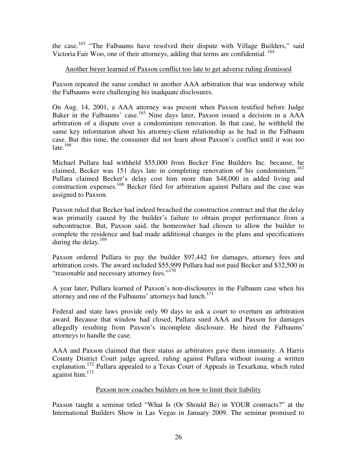the case.<sup>163</sup> "The Falbaums have resolved their dispute with Village Builders," said Victoria Fair Woo, one of their attorneys, adding that terms are confidential.<sup>164</sup>

### Another buyer learned of Paxson conflict too late to get adverse ruling dismissed

Paxson repeated the same conduct in another AAA arbitration that was underway while the Falbaums were challenging his inadquate disclosures.

On Aug. 14, 2001, a AAA attorney was present when Paxson testified before Judge Baker in the Falbaums' case.<sup>165</sup> Nine days later, Paxson issued a decision in a AAA arbitration of a dispute over a condominium renovation. In that case, he withheld the same key information about his attorney-client relationship as he had in the Falbaum case. But this time, the consumer did not learn about Paxson's conflict until it was too late. $166$ 

Michael Pullara had withheld \$55,000 from Becker Fine Builders Inc. because, he claimed, Becker was 151 days late in completing renovation of his condominium.<sup>167</sup> Pullara claimed Becker's delay cost him more than \$48,000 in added living and construction expenses.<sup>168</sup> Becker filed for arbitration against Pullara and the case was assigned to Paxson.

Paxson ruled that Becker had indeed breached the construction contract and that the delay was primarily caused by the builder's failure to obtain proper performance from a subcontractor. But, Paxson said, the homeowner had chosen to allow the builder to complete the residence and had made additional changes in the plans and specifications during the delay.<sup>169</sup>

Paxson ordered Pullara to pay the builder \$97,442 for damages, attorney fees and arbitration costs. The award included \$55,999 Pullara had not paid Becker and \$32,500 in "reasonable and necessary attorney fees."<sup>170</sup>

A year later, Pullara learned of Paxson's non-disclosures in the Falbaum case when his attorney and one of the Falbaums' attorneys had lunch.<sup>171</sup>

Federal and state laws provide only 90 days to ask a court to overturn an arbitration award. Because that window had closed, Pullara sued AAA and Paxson for damages allegedly resulting from Paxson's incomplete disclosure. He hired the Falbaums' attorneys to handle the case.

AAA and Paxson claimed that their status as arbitrators gave them immunity. A Harris County District Court judge agreed, ruling against Pullara without issuing a written explanation.<sup>172</sup> Pullara appealed to a Texas Court of Appeals in Texarkana, which ruled against him.<sup>173</sup>

### Paxson now coaches builders on how to limit their liability

Paxson taught a seminar titled "What Is (Or Should Be) in YOUR contracts?" at the International Builders Show in Las Vegas in January 2009. The seminar promised to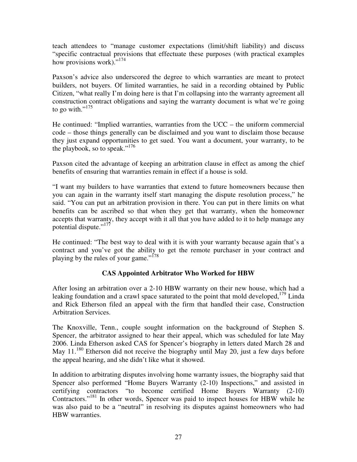teach attendees to "manage customer expectations (limit/shift liability) and discuss "specific contractual provisions that effectuate these purposes (with practical examples how provisions work)."<sup>174</sup>

Paxson's advice also underscored the degree to which warranties are meant to protect builders, not buyers. Of limited warranties, he said in a recording obtained by Public Citizen, "what really I'm doing here is that I'm collapsing into the warranty agreement all construction contract obligations and saying the warranty document is what we're going to go with." $175$ 

He continued: "Implied warranties, warranties from the UCC – the uniform commercial code – those things generally can be disclaimed and you want to disclaim those because they just expand opportunities to get sued. You want a document, your warranty, to be the playbook, so to speak."<sup>176</sup>

Paxson cited the advantage of keeping an arbitration clause in effect as among the chief benefits of ensuring that warranties remain in effect if a house is sold.

"I want my builders to have warranties that extend to future homeowners because then you can again in the warranty itself start managing the dispute resolution process," he said. "You can put an arbitration provision in there. You can put in there limits on what benefits can be ascribed so that when they get that warranty, when the homeowner accepts that warranty, they accept with it all that you have added to it to help manage any potential dispute."<sup>177</sup>

He continued: "The best way to deal with it is with your warranty because again that's a contract and you've got the ability to get the remote purchaser in your contract and playing by the rules of your game."<sup>178</sup>

### **CAS Appointed Arbitrator Who Worked for HBW**

After losing an arbitration over a 2-10 HBW warranty on their new house, which had a leaking foundation and a crawl space saturated to the point that mold developed,  $179$  Linda and Rick Etherson filed an appeal with the firm that handled their case, Construction Arbitration Services.

The Knoxville, Tenn., couple sought information on the background of Stephen S. Spencer, the arbitrator assigned to hear their appeal, which was scheduled for late May 2006. Linda Etherson asked CAS for Spencer's biography in letters dated March 28 and May  $11^{180}$  Etherson did not receive the biography until May 20, just a few days before the appeal hearing, and she didn't like what it showed.

In addition to arbitrating disputes involving home warranty issues, the biography said that Spencer also performed "Home Buyers Warranty (2-10) Inspections," and assisted in certifying contractors "to become certified Home Buyers Warranty (2-10) Contractors."<sup>181</sup> In other words, Spencer was paid to inspect houses for HBW while he was also paid to be a "neutral" in resolving its disputes against homeowners who had HBW warranties.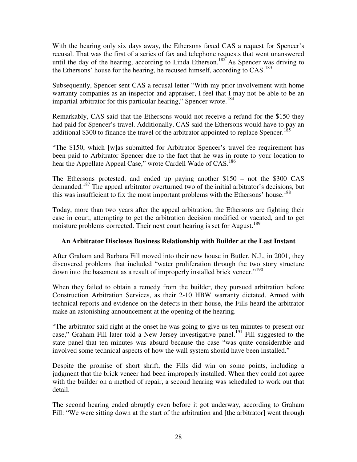With the hearing only six days away, the Ethersons faxed CAS a request for Spencer's recusal. That was the first of a series of fax and telephone requests that went unanswered until the day of the hearing, according to Linda Etherson.<sup>182</sup> As Spencer was driving to the Ethersons' house for the hearing, he recused himself, according to CAS.<sup>183</sup>

Subsequently, Spencer sent CAS a recusal letter "With my prior involvement with home warranty companies as an inspector and appraiser, I feel that I may not be able to be an impartial arbitrator for this particular hearing," Spencer wrote.<sup>184</sup>

Remarkably, CAS said that the Ethersons would not receive a refund for the \$150 they had paid for Spencer's travel. Additionally, CAS said the Ethersons would have to pay an additional \$300 to finance the travel of the arbitrator appointed to replace Spencer.<sup>185</sup>

"The \$150, which [w]as submitted for Arbitrator Spencer's travel fee requirement has been paid to Arbitrator Spencer due to the fact that he was in route to your location to hear the Appellate Appeal Case," wrote Cardell Wade of CAS.<sup>186</sup>

The Ethersons protested, and ended up paying another \$150 – not the \$300 CAS demanded.<sup>187</sup> The appeal arbitrator overturned two of the initial arbitrator's decisions, but this was insufficient to fix the most important problems with the Ethersons' house.<sup>188</sup>

Today, more than two years after the appeal arbitration, the Ethersons are fighting their case in court, attempting to get the arbitration decision modified or vacated, and to get moisture problems corrected. Their next court hearing is set for August.<sup>189</sup>

### **An Arbitrator Discloses Business Relationship with Builder at the Last Instant**

After Graham and Barbara Fill moved into their new house in Butler, N.J., in 2001, they discovered problems that included "water proliferation through the two story structure down into the basement as a result of improperly installed brick veneer."<sup>190</sup>

When they failed to obtain a remedy from the builder, they pursued arbitration before Construction Arbitration Services, as their 2-10 HBW warranty dictated. Armed with technical reports and evidence on the defects in their house, the Fills heard the arbitrator make an astonishing announcement at the opening of the hearing.

"The arbitrator said right at the onset he was going to give us ten minutes to present our case," Graham Fill later told a New Jersey investigative panel.<sup>191</sup> Fill suggested to the state panel that ten minutes was absurd because the case "was quite considerable and involved some technical aspects of how the wall system should have been installed."

Despite the promise of short shrift, the Fills did win on some points, including a judgment that the brick veneer had been improperly installed. When they could not agree with the builder on a method of repair, a second hearing was scheduled to work out that detail.

The second hearing ended abruptly even before it got underway, according to Graham Fill: "We were sitting down at the start of the arbitration and [the arbitrator] went through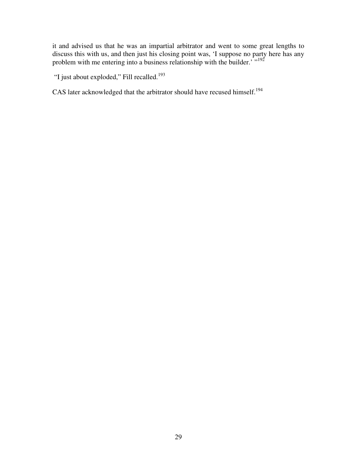it and advised us that he was an impartial arbitrator and went to some great lengths to discuss this with us, and then just his closing point was, 'I suppose no party here has any problem with me entering into a business relationship with the builder.<sup> $\cdot$ </sup><sup>192</sup>

"I just about exploded," Fill recalled.<sup>193</sup>

CAS later acknowledged that the arbitrator should have recused himself.<sup>194</sup>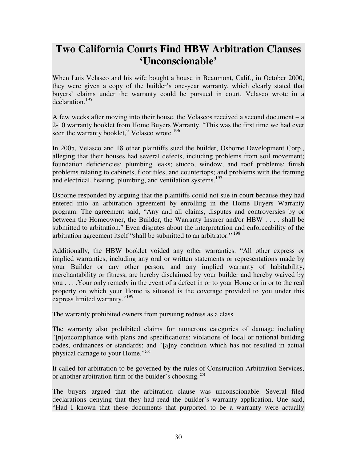### **Two California Courts Find HBW Arbitration Clauses 'Unconscionable'**

When Luis Velasco and his wife bought a house in Beaumont, Calif., in October 2000, they were given a copy of the builder's one-year warranty, which clearly stated that buyers' claims under the warranty could be pursued in court, Velasco wrote in a declaration.<sup>195</sup>

A few weeks after moving into their house, the Velascos received a second document – a 2-10 warranty booklet from Home Buyers Warranty. "This was the first time we had ever seen the warranty booklet," Velasco wrote.<sup>196</sup>

In 2005, Velasco and 18 other plaintiffs sued the builder, Osborne Development Corp., alleging that their houses had several defects, including problems from soil movement; foundation deficiencies; plumbing leaks; stucco, window, and roof problems; finish problems relating to cabinets, floor tiles, and countertops; and problems with the framing and electrical, heating, plumbing, and ventilation systems.<sup>197</sup>

Osborne responded by arguing that the plaintiffs could not sue in court because they had entered into an arbitration agreement by enrolling in the Home Buyers Warranty program. The agreement said, "Any and all claims, disputes and controversies by or between the Homeowner, the Builder, the Warranty Insurer and/or HBW . . . . shall be submitted to arbitration." Even disputes about the interpretation and enforceability of the arbitration agreement itself "shall be submitted to an arbitrator."<sup>198</sup>

Additionally, the HBW booklet voided any other warranties. "All other express or implied warranties, including any oral or written statements or representations made by your Builder or any other person, and any implied warranty of habitability, merchantability or fitness, are hereby disclaimed by your builder and hereby waived by you . . . .Your only remedy in the event of a defect in or to your Home or in or to the real property on which your Home is situated is the coverage provided to you under this express limited warranty."<sup>199</sup>

The warranty prohibited owners from pursuing redress as a class.

The warranty also prohibited claims for numerous categories of damage including "[n]oncompliance with plans and specifications; violations of local or national building codes, ordinances or standards; and "[a]ny condition which has not resulted in actual physical damage to your Home."<sup>200</sup>

It called for arbitration to be governed by the rules of Construction Arbitration Services, or another arbitration firm of the builder's choosing.<sup>201</sup>

The buyers argued that the arbitration clause was unconscionable. Several filed declarations denying that they had read the builder's warranty application. One said, "Had I known that these documents that purported to be a warranty were actually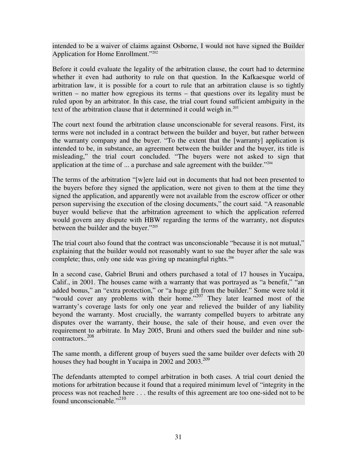intended to be a waiver of claims against Osborne, I would not have signed the Builder Application for Home Enrollment."<sup>202</sup>

Before it could evaluate the legality of the arbitration clause, the court had to determine whether it even had authority to rule on that question. In the Kafkaesque world of arbitration law, it is possible for a court to rule that an arbitration clause is so tightly written – no matter how egregious its terms – that questions over its legality must be ruled upon by an arbitrator. In this case, the trial court found sufficient ambiguity in the text of the arbitration clause that it determined it could weigh in.<sup>203</sup>

The court next found the arbitration clause unconscionable for several reasons. First, its terms were not included in a contract between the builder and buyer, but rather between the warranty company and the buyer. "To the extent that the [warranty] application is intended to be, in substance, an agreement between the builder and the buyer, its title is misleading," the trial court concluded. "The buyers were not asked to sign that application at the time of ... a purchase and sale agreement with the builder."<sup>204</sup>

The terms of the arbitration "[w]ere laid out in documents that had not been presented to the buyers before they signed the application, were not given to them at the time they signed the application, and apparently were not available from the escrow officer or other person supervising the execution of the closing documents," the court said. "A reasonable buyer would believe that the arbitration agreement to which the application referred would govern any dispute with HBW regarding the terms of the warranty, not disputes between the builder and the buyer."<sup>205</sup>

The trial court also found that the contract was unconscionable "because it is not mutual," explaining that the builder would not reasonably want to sue the buyer after the sale was complete; thus, only one side was giving up meaningful rights. $206$ 

In a second case, Gabriel Bruni and others purchased a total of 17 houses in Yucaipa, Calif., in 2001. The houses came with a warranty that was portrayed as "a benefit," "an added bonus," an "extra protection," or "a huge gift from the builder." Some were told it "would cover any problems with their home."<sup>207</sup> They later learned most of the warranty's coverage lasts for only one year and relieved the builder of any liability beyond the warranty. Most crucially, the warranty compelled buyers to arbitrate any disputes over the warranty, their house, the sale of their house, and even over the requirement to arbitrate. In May 2005, Bruni and others sued the builder and nine subcontractors..<sup>208</sup>

The same month, a different group of buyers sued the same builder over defects with 20 houses they had bought in Yucaipa in 2002 and  $2003$ <sup>209</sup>

The defendants attempted to compel arbitration in both cases. A trial court denied the motions for arbitration because it found that a required minimum level of "integrity in the process was not reached here . . . the results of this agreement are too one-sided not to be found unconscionable." $^{210}$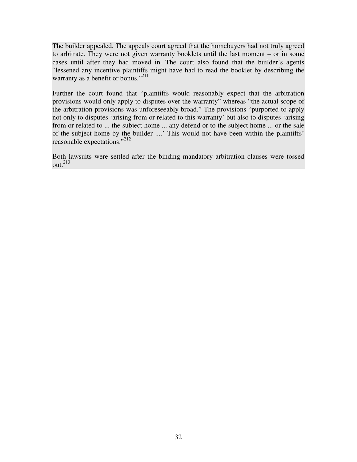The builder appealed. The appeals court agreed that the homebuyers had not truly agreed to arbitrate. They were not given warranty booklets until the last moment – or in some cases until after they had moved in. The court also found that the builder's agents "lessened any incentive plaintiffs might have had to read the booklet by describing the warranty as a benefit or bonus."<sup>211</sup>

Further the court found that "plaintiffs would reasonably expect that the arbitration provisions would only apply to disputes over the warranty" whereas "the actual scope of the arbitration provisions was unforeseeably broad." The provisions "purported to apply not only to disputes 'arising from or related to this warranty' but also to disputes 'arising from or related to ... the subject home ... any defend or to the subject home ... or the sale of the subject home by the builder ....' This would not have been within the plaintiffs' reasonable expectations."<sup>212</sup>

Both lawsuits were settled after the binding mandatory arbitration clauses were tossed out.<sup>213</sup>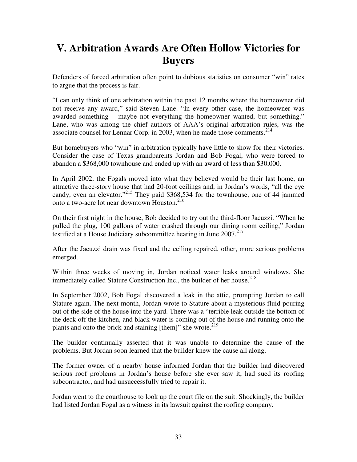# **V. Arbitration Awards Are Often Hollow Victories for Buyers**

Defenders of forced arbitration often point to dubious statistics on consumer "win" rates to argue that the process is fair.

"I can only think of one arbitration within the past 12 months where the homeowner did not receive any award," said Steven Lane. "In every other case, the homeowner was awarded something – maybe not everything the homeowner wanted, but something." Lane, who was among the chief authors of AAA's original arbitration rules, was the associate counsel for Lennar Corp. in 2003, when he made those comments. $2^{14}$ 

But homebuyers who "win" in arbitration typically have little to show for their victories. Consider the case of Texas grandparents Jordan and Bob Fogal, who were forced to abandon a \$368,000 townhouse and ended up with an award of less than \$30,000.

In April 2002, the Fogals moved into what they believed would be their last home, an attractive three-story house that had 20-foot ceilings and, in Jordan's words, "all the eye candy, even an elevator."<sup>215</sup> They paid \$368,534 for the townhouse, one of 44 jammed onto a two-acre lot near downtown Houston.<sup>216</sup>

On their first night in the house, Bob decided to try out the third-floor Jacuzzi. "When he pulled the plug, 100 gallons of water crashed through our dining room ceiling," Jordan testified at a House Judiciary subcommittee hearing in June  $2007$ <sup>217</sup>

After the Jacuzzi drain was fixed and the ceiling repaired, other, more serious problems emerged.

Within three weeks of moving in, Jordan noticed water leaks around windows. She immediately called Stature Construction Inc., the builder of her house.<sup>218</sup>

In September 2002, Bob Fogal discovered a leak in the attic, prompting Jordan to call Stature again. The next month, Jordan wrote to Stature about a mysterious fluid pouring out of the side of the house into the yard. There was a "terrible leak outside the bottom of the deck off the kitchen, and black water is coming out of the house and running onto the plants and onto the brick and staining [them]" she wrote.<sup>219</sup>

The builder continually asserted that it was unable to determine the cause of the problems. But Jordan soon learned that the builder knew the cause all along.

The former owner of a nearby house informed Jordan that the builder had discovered serious roof problems in Jordan's house before she ever saw it, had sued its roofing subcontractor, and had unsuccessfully tried to repair it.

Jordan went to the courthouse to look up the court file on the suit. Shockingly, the builder had listed Jordan Fogal as a witness in its lawsuit against the roofing company.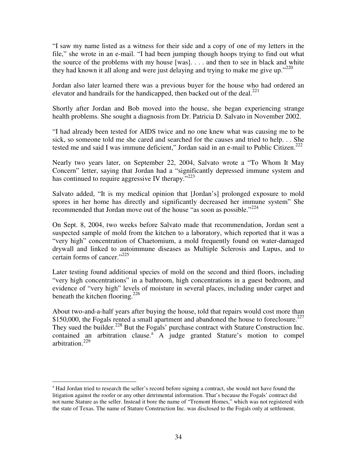"I saw my name listed as a witness for their side and a copy of one of my letters in the file," she wrote in an e-mail. "I had been jumping though hoops trying to find out what the source of the problems with my house [was]. . . . and then to see in black and white they had known it all along and were just delaying and trying to make me give up."<sup>220</sup>

Jordan also later learned there was a previous buyer for the house who had ordered an elevator and handrails for the handicapped, then backed out of the deal. $^{221}$ 

Shortly after Jordan and Bob moved into the house, she began experiencing strange health problems. She sought a diagnosis from Dr. Patricia D. Salvato in November 2002.

"I had already been tested for AIDS twice and no one knew what was causing me to be sick, so someone told me she cared and searched for the causes and tried to help. . . She tested me and said I was immune deficient," Jordan said in an e-mail to Public Citizen.<sup>222</sup>

Nearly two years later, on September 22, 2004, Salvato wrote a "To Whom It May Concern" letter, saying that Jordan had a "significantly depressed immune system and has continued to require aggressive IV therapy."<sup>223</sup>

Salvato added, "It is my medical opinion that [Jordan's] prolonged exposure to mold spores in her home has directly and significantly decreased her immune system" She recommended that Jordan move out of the house "as soon as possible."<sup>224</sup>

On Sept. 8, 2004, two weeks before Salvato made that recommendation, Jordan sent a suspected sample of mold from the kitchen to a laboratory, which reported that it was a "very high" concentration of Chaetomium, a mold frequently found on water-damaged drywall and linked to autoimmune diseases as Multiple Sclerosis and Lupus, and to certain forms of cancer."<sup>225</sup>

Later testing found additional species of mold on the second and third floors, including "very high concentrations" in a bathroom, high concentrations in a guest bedroom, and evidence of "very high" levels of moisture in several places, including under carpet and beneath the kitchen flooring.<sup>226</sup>

About two-and-a-half years after buying the house, told that repairs would cost more than \$150,000, the Fogals rented a small apartment and abandoned the house to foreclosure.<sup>227</sup> They sued the builder.<sup>228</sup> But the Fogals' purchase contract with Stature Construction Inc. contained an arbitration clause.<sup> $A$ </sup> A judge granted Stature's motion to compel arbitration.<sup>229</sup>

 $\overline{a}$ <sup>a</sup> Had Jordan tried to research the seller's record before signing a contract, she would not have found the litigation against the roofer or any other detrimental information. That's because the Fogals' contract did not name Stature as the seller. Instead it bore the name of "Tremont Homes," which was not registered with the state of Texas. The name of Stature Construction Inc. was disclosed to the Fogals only at settlement.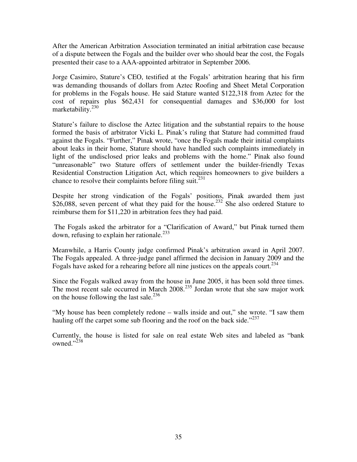After the American Arbitration Association terminated an initial arbitration case because of a dispute between the Fogals and the builder over who should bear the cost, the Fogals presented their case to a AAA-appointed arbitrator in September 2006.

Jorge Casimiro, Stature's CEO, testified at the Fogals' arbitration hearing that his firm was demanding thousands of dollars from Aztec Roofing and Sheet Metal Corporation for problems in the Fogals house. He said Stature wanted \$122,318 from Aztec for the cost of repairs plus \$62,431 for consequential damages and \$36,000 for lost marketability.<sup>230</sup>

Stature's failure to disclose the Aztec litigation and the substantial repairs to the house formed the basis of arbitrator Vicki L. Pinak's ruling that Stature had committed fraud against the Fogals. "Further," Pinak wrote, "once the Fogals made their initial complaints about leaks in their home, Stature should have handled such complaints immediately in light of the undisclosed prior leaks and problems with the home." Pinak also found "unreasonable" two Stature offers of settlement under the builder-friendly Texas Residential Construction Litigation Act, which requires homeowners to give builders a chance to resolve their complaints before filing suit.<sup>231</sup>

Despite her strong vindication of the Fogals' positions, Pinak awarded them just \$26,088, seven percent of what they paid for the house.<sup>232</sup> She also ordered Stature to reimburse them for \$11,220 in arbitration fees they had paid.

 The Fogals asked the arbitrator for a "Clarification of Award," but Pinak turned them down, refusing to explain her rationale. $^{233}$ 

Meanwhile, a Harris County judge confirmed Pinak's arbitration award in April 2007. The Fogals appealed. A three-judge panel affirmed the decision in January 2009 and the Fogals have asked for a rehearing before all nine justices on the appeals court.<sup>234</sup>

Since the Fogals walked away from the house in June 2005, it has been sold three times. The most recent sale occurred in March  $2008<sup>235</sup>$  Jordan wrote that she saw major work on the house following the last sale. $^{236}$ 

"My house has been completely redone – walls inside and out," she wrote. "I saw them hauling off the carpet some sub flooring and the roof on the back side."<sup>237</sup>

Currently, the house is listed for sale on real estate Web sites and labeled as "bank owned." $^{238}$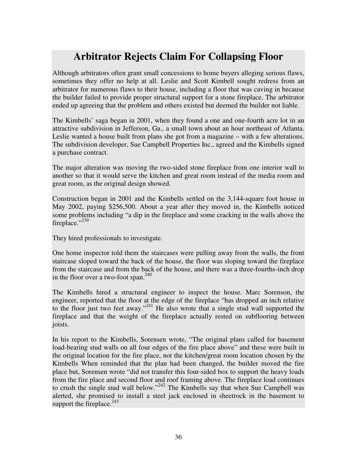# **Arbitrator Rejects Claim For Collapsing Floor**

Although arbitrators often grant small concessions to home buyers alleging serious flaws, sometimes they offer no help at all. Leslie and Scott Kimbell sought redress from an arbitrator for numerous flaws to their house, including a floor that was caving in because the builder failed to provide proper structural support for a stone fireplace. The arbitrator ended up agreeing that the problem and others existed but deemed the builder not liable.

The Kimbells' saga began in 2001, when they found a one and one-fourth acre lot in an attractive subdivision in Jefferson, Ga., a small town about an hour northeast of Atlanta. Leslie wanted a house built from plans she got from a magazine – with a few alterations. The subdivision developer, Sue Campbell Properties Inc., agreed and the Kimbells signed a purchase contract.

The major alteration was moving the two-sided stone fireplace from one interior wall to another so that it would serve the kitchen and great room instead of the media room and great room, as the original design showed.

Construction began in 2001 and the Kimbells settled on the 3,144-square foot house in May 2002, paying \$256,500. About a year after they moved in, the Kimbells noticed some problems including "a dip in the fireplace and some cracking in the walls above the fireplace."<sup>239</sup>

They hired professionals to investigate.

One home inspector told them the staircases were pulling away from the walls, the front staircase sloped toward the back of the house, the floor was sloping toward the fireplace from the staircase and from the back of the house, and there was a three-fourths-inch drop in the floor over a two-foot span.<sup>240</sup>

The Kimbells hired a structural engineer to inspect the house. Marc Sorenson, the engineer, reported that the floor at the edge of the fireplace "has dropped an inch relative to the floor just two feet away."<sup>241</sup> He also wrote that a single stud wall supported the fireplace and that the weight of the fireplace actually rested on subflooring between joists.

In his report to the Kimbells, Sorensen wrote, "The original plans called for basement load-bearing stud walls on all four edges of the fire place above" and these were built in the original location for the fire place, not the kitchen/great room location chosen by the Kimbells When reminded that the plan had been changed, the builder moved the fire place but, Sorensen wrote "did not transfer this four-sided box to support the heavy loads from the fire place and second floor and roof framing above. The fireplace load continues to crush the single stud wall below."<sup>242</sup> The Kimbells say that when Sue Campbell was alerted, she promised to install a steel jack enclosed in sheetrock in the basement to support the fireplace. $243$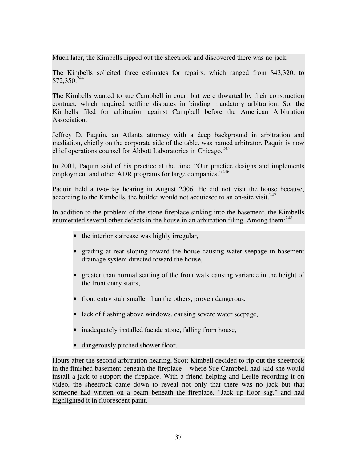Much later, the Kimbells ripped out the sheetrock and discovered there was no jack.

The Kimbells solicited three estimates for repairs, which ranged from \$43,320, to  $$72,350.<sup>244</sup>$ 

The Kimbells wanted to sue Campbell in court but were thwarted by their construction contract, which required settling disputes in binding mandatory arbitration. So, the Kimbells filed for arbitration against Campbell before the American Arbitration Association.

Jeffrey D. Paquin, an Atlanta attorney with a deep background in arbitration and mediation, chiefly on the corporate side of the table, was named arbitrator. Paquin is now chief operations counsel for Abbott Laboratories in Chicago.<sup>245</sup>

In 2001, Paquin said of his practice at the time, "Our practice designs and implements employment and other ADR programs for large companies."<sup>246</sup>

Paquin held a two-day hearing in August 2006. He did not visit the house because, according to the Kimbells, the builder would not acquiesce to an on-site visit.<sup>247</sup>

In addition to the problem of the stone fireplace sinking into the basement, the Kimbells enumerated several other defects in the house in an arbitration filing. Among them: <sup>248</sup>

- the interior staircase was highly irregular,
- grading at rear sloping toward the house causing water seepage in basement drainage system directed toward the house,
- greater than normal settling of the front walk causing variance in the height of the front entry stairs,
- front entry stair smaller than the others, proven dangerous,
- lack of flashing above windows, causing severe water seepage,
- inadequately installed facade stone, falling from house,
- dangerously pitched shower floor.

Hours after the second arbitration hearing, Scott Kimbell decided to rip out the sheetrock in the finished basement beneath the fireplace – where Sue Campbell had said she would install a jack to support the fireplace. With a friend helping and Leslie recording it on video, the sheetrock came down to reveal not only that there was no jack but that someone had written on a beam beneath the fireplace, "Jack up floor sag," and had highlighted it in fluorescent paint.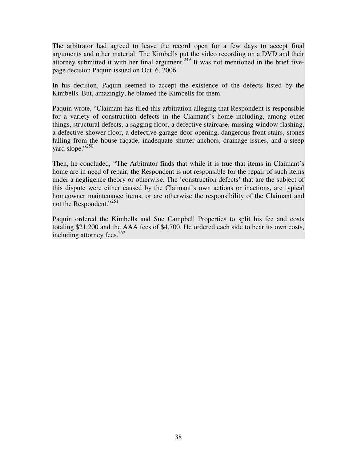The arbitrator had agreed to leave the record open for a few days to accept final arguments and other material. The Kimbells put the video recording on a DVD and their attorney submitted it with her final argument.<sup>249</sup> It was not mentioned in the brief fivepage decision Paquin issued on Oct. 6, 2006.

In his decision, Paquin seemed to accept the existence of the defects listed by the Kimbells. But, amazingly, he blamed the Kimbells for them.

Paquin wrote, "Claimant has filed this arbitration alleging that Respondent is responsible for a variety of construction defects in the Claimant's home including, among other things, structural defects, a sagging floor, a defective staircase, missing window flashing, a defective shower floor, a defective garage door opening, dangerous front stairs, stones falling from the house façade, inadequate shutter anchors, drainage issues, and a steep vard slope."<sup>250</sup>

Then, he concluded, "The Arbitrator finds that while it is true that items in Claimant's home are in need of repair, the Respondent is not responsible for the repair of such items under a negligence theory or otherwise. The 'construction defects' that are the subject of this dispute were either caused by the Claimant's own actions or inactions, are typical homeowner maintenance items, or are otherwise the responsibility of the Claimant and not the Respondent."<sup>251</sup>

Paquin ordered the Kimbells and Sue Campbell Properties to split his fee and costs totaling \$21,200 and the AAA fees of \$4,700. He ordered each side to bear its own costs, including attorney fees. $252$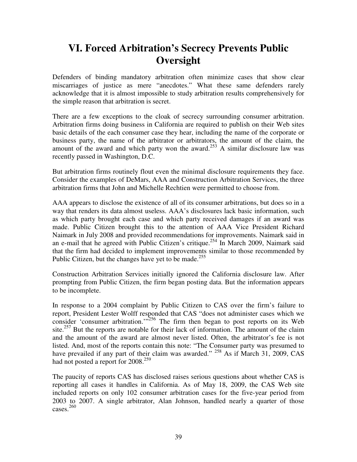# **VI. Forced Arbitration's Secrecy Prevents Public Oversight**

Defenders of binding mandatory arbitration often minimize cases that show clear miscarriages of justice as mere "anecdotes." What these same defenders rarely acknowledge that it is almost impossible to study arbitration results comprehensively for the simple reason that arbitration is secret.

There are a few exceptions to the cloak of secrecy surrounding consumer arbitration. Arbitration firms doing business in California are required to publish on their Web sites basic details of the each consumer case they hear, including the name of the corporate or business party, the name of the arbitrator or arbitrators, the amount of the claim, the amount of the award and which party won the award.<sup>253</sup> A similar disclosure law was recently passed in Washington, D.C.

But arbitration firms routinely flout even the minimal disclosure requirements they face. Consider the examples of DeMars, AAA and Construction Arbitration Services, the three arbitration firms that John and Michelle Rechtien were permitted to choose from.

AAA appears to disclose the existence of all of its consumer arbitrations, but does so in a way that renders its data almost useless. AAA's disclosures lack basic information, such as which party brought each case and which party received damages if an award was made. Public Citizen brought this to the attention of AAA Vice President Richard Naimark in July 2008 and provided recommendations for improvements. Naimark said in an e-mail that he agreed with Public Citizen's critique.<sup>254</sup> In March 2009, Naimark said that the firm had decided to implement improvements similar to those recommended by Public Citizen, but the changes have yet to be made.<sup>255</sup>

Construction Arbitration Services initially ignored the California disclosure law. After prompting from Public Citizen, the firm began posting data. But the information appears to be incomplete.

In response to a 2004 complaint by Public Citizen to CAS over the firm's failure to report, President Lester Wolff responded that CAS "does not administer cases which we consider 'consumer arbitration.'<sup>256</sup> The firm then began to post reports on its Web site.<sup>257</sup> But the reports are notable for their lack of information. The amount of the claim and the amount of the award are almost never listed. Often, the arbitrator's fee is not listed. And, most of the reports contain this note: "The Consumer party was presumed to have prevailed if any part of their claim was awarded." <sup>258</sup> As if March 31, 2009, CAS had not posted a report for 2008.<sup>259</sup>

The paucity of reports CAS has disclosed raises serious questions about whether CAS is reporting all cases it handles in California. As of May 18, 2009, the CAS Web site included reports on only 102 consumer arbitration cases for the five-year period from 2003 to 2007. A single arbitrator, Alan Johnson, handled nearly a quarter of those  $\csc^{260}$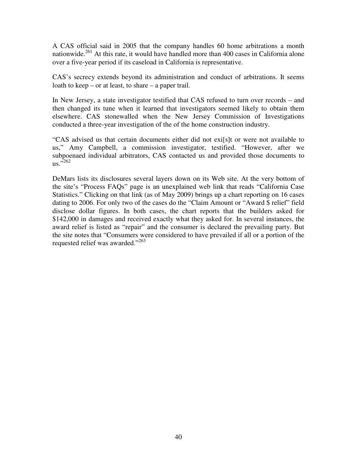A CAS official said in 2005 that the company handles 60 home arbitrations a month nationwide.<sup>261</sup> At this rate, it would have handled more than 400 cases in California alone over a five-year period if its caseload in California is representative.

CAS's secrecy extends beyond its administration and conduct of arbitrations. It seems loath to keep – or at least, to share – a paper trail.

In New Jersey, a state investigator testified that CAS refused to turn over records – and then changed its tune when it learned that investigators seemed likely to obtain them elsewhere. CAS stonewalled when the New Jersey Commission of Investigations conducted a three-year investigation of the of the home construction industry.

"CAS advised us that certain documents either did not exi[s]t or were not available to us," Amy Campbell, a commission investigator, testified. "However, after we subpoenaed individual arbitrators, CAS contacted us and provided those documents to  $\mu$ s."<sup>262</sup>

DeMars lists its disclosures several layers down on its Web site. At the very bottom of the site's "Process FAQs" page is an unexplained web link that reads "California Case Statistics." Clicking on that link (as of May 2009) brings up a chart reporting on 16 cases dating to 2006. For only two of the cases do the "Claim Amount or "Award \$ relief" field disclose dollar figures. In both cases, the chart reports that the builders asked for \$142,000 in damages and received exactly what they asked for. In several instances, the award relief is listed as "repair" and the consumer is declared the prevailing party. But the site notes that "Consumers were considered to have prevailed if all or a portion of the requested relief was awarded."<sup>263</sup>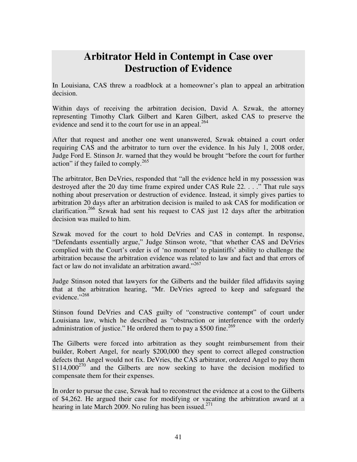### **Arbitrator Held in Contempt in Case over Destruction of Evidence**

In Louisiana, CAS threw a roadblock at a homeowner's plan to appeal an arbitration decision.

Within days of receiving the arbitration decision, David A. Szwak, the attorney representing Timothy Clark Gilbert and Karen Gilbert, asked CAS to preserve the evidence and send it to the court for use in an appeal.<sup>264</sup>

After that request and another one went unanswered, Szwak obtained a court order requiring CAS and the arbitrator to turn over the evidence. In his July 1, 2008 order, Judge Ford E. Stinson Jr. warned that they would be brought "before the court for further action" if they failed to comply.<sup>265</sup>

The arbitrator, Ben DeVries, responded that "all the evidence held in my possession was destroyed after the 20 day time frame expired under CAS Rule 22. . . ." That rule says nothing about preservation or destruction of evidence. Instead, it simply gives parties to arbitration 20 days after an arbitration decision is mailed to ask CAS for modification or clarification.<sup>266</sup> Szwak had sent his request to CAS just 12 days after the arbitration decision was mailed to him.

Szwak moved for the court to hold DeVries and CAS in contempt. In response, "Defendants essentially argue," Judge Stinson wrote, "that whether CAS and DeVries complied with the Court's order is of 'no moment' to plaintiffs' ability to challenge the arbitration because the arbitration evidence was related to law and fact and that errors of fact or law do not invalidate an arbitration award."<sup>267</sup>

Judge Stinson noted that lawyers for the Gilberts and the builder filed affidavits saying that at the arbitration hearing, "Mr. DeVries agreed to keep and safeguard the evidence."<sup>268</sup>

Stinson found DeVries and CAS guilty of "constructive contempt" of court under Louisiana law, which he described as "obstruction or interference with the orderly administration of justice." He ordered them to pay a \$500 fine.<sup>269</sup>

The Gilberts were forced into arbitration as they sought reimbursement from their builder, Robert Angel, for nearly \$200,000 they spent to correct alleged construction defects that Angel would not fix. DeVries, the CAS arbitrator, ordered Angel to pay them  $$114,000^{270}$  and the Gilberts are now seeking to have the decision modified to compensate them for their expenses.

In order to pursue the case, Szwak had to reconstruct the evidence at a cost to the Gilberts of \$4,262. He argued their case for modifying or vacating the arbitration award at a hearing in late March 2009. No ruling has been issued.<sup>271</sup>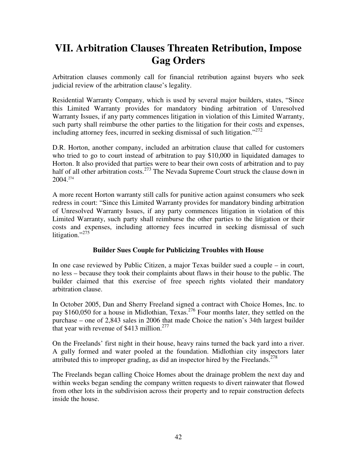# **VII. Arbitration Clauses Threaten Retribution, Impose Gag Orders**

Arbitration clauses commonly call for financial retribution against buyers who seek judicial review of the arbitration clause's legality.

Residential Warranty Company, which is used by several major builders, states, "Since this Limited Warranty provides for mandatory binding arbitration of Unresolved Warranty Issues, if any party commences litigation in violation of this Limited Warranty, such party shall reimburse the other parties to the litigation for their costs and expenses, including attorney fees, incurred in seeking dismissal of such litigation."<sup>272</sup>

D.R. Horton, another company, included an arbitration clause that called for customers who tried to go to court instead of arbitration to pay \$10,000 in liquidated damages to Horton. It also provided that parties were to bear their own costs of arbitration and to pay half of all other arbitration costs.<sup>273</sup> The Nevada Supreme Court struck the clause down in 2004.<sup>274</sup>

A more recent Horton warranty still calls for punitive action against consumers who seek redress in court: "Since this Limited Warranty provides for mandatory binding arbitration of Unresolved Warranty Issues, if any party commences litigation in violation of this Limited Warranty, such party shall reimburse the other parties to the litigation or their costs and expenses, including attorney fees incurred in seeking dismissal of such litigation." $^{275}$ 

### **Builder Sues Couple for Publicizing Troubles with House**

In one case reviewed by Public Citizen, a major Texas builder sued a couple – in court, no less – because they took their complaints about flaws in their house to the public. The builder claimed that this exercise of free speech rights violated their mandatory arbitration clause.

In October 2005, Dan and Sherry Freeland signed a contract with Choice Homes, Inc. to pay \$160,050 for a house in Midlothian, Texas.<sup>276</sup> Four months later, they settled on the purchase – one of 2,843 sales in 2006 that made Choice the nation's 34th largest builder that year with revenue of  $$413$  million.<sup>277</sup>

On the Freelands' first night in their house, heavy rains turned the back yard into a river. A gully formed and water pooled at the foundation. Midlothian city inspectors later attributed this to improper grading, as did an inspector hired by the Freelands.<sup> $278$ </sup>

The Freelands began calling Choice Homes about the drainage problem the next day and within weeks began sending the company written requests to divert rainwater that flowed from other lots in the subdivision across their property and to repair construction defects inside the house.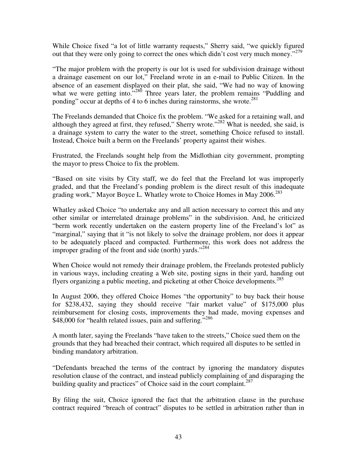While Choice fixed "a lot of little warranty requests," Sherry said, "we quickly figured out that they were only going to correct the ones which didn't cost very much money."<sup>279</sup>

"The major problem with the property is our lot is used for subdivision drainage without a drainage easement on our lot," Freeland wrote in an e-mail to Public Citizen. In the absence of an easement displayed on their plat, she said, "We had no way of knowing what we were getting into."<sup>280</sup> Three years later, the problem remains "Puddling and ponding" occur at depths of 4 to 6 inches during rainstorms, she wrote. $^{281}$ 

The Freelands demanded that Choice fix the problem. "We asked for a retaining wall, and although they agreed at first, they refused," Sherry wrote."<sup>282</sup> What is needed, she said, is a drainage system to carry the water to the street, something Choice refused to install. Instead, Choice built a berm on the Freelands' property against their wishes.

Frustrated, the Freelands sought help from the Midlothian city government, prompting the mayor to press Choice to fix the problem.

"Based on site visits by City staff, we do feel that the Freeland lot was improperly graded, and that the Freeland's ponding problem is the direct result of this inadequate grading work," Mayor Boyce L. Whatley wrote to Choice Homes in May 2006.<sup>283</sup>

Whatley asked Choice "to undertake any and all action necessary to correct this and any other similar or interrelated drainage problems" in the subdivision. And, he criticized "berm work recently undertaken on the eastern property line of the Freeland's lot" as "marginal," saying that it "is not likely to solve the drainage problem, nor does it appear to be adequately placed and compacted. Furthermore, this work does not address the improper grading of the front and side (north) yards."<sup>284</sup>

When Choice would not remedy their drainage problem, the Freelands protested publicly in various ways, including creating a Web site, posting signs in their yard, handing out flyers organizing a public meeting, and picketing at other Choice developments.<sup>285</sup>

In August 2006, they offered Choice Homes "the opportunity" to buy back their house for \$238,432, saying they should receive "fair market value" of \$175,000 plus reimbursement for closing costs, improvements they had made, moving expenses and \$48,000 for "health related issues, pain and suffering."<sup>286</sup>

A month later, saying the Freelands "have taken to the streets," Choice sued them on the grounds that they had breached their contract, which required all disputes to be settled in binding mandatory arbitration.

"Defendants breached the terms of the contract by ignoring the mandatory disputes resolution clause of the contract, and instead publicly complaining of and disparaging the building quality and practices" of Choice said in the court complaint.<sup>287</sup>

By filing the suit, Choice ignored the fact that the arbitration clause in the purchase contract required "breach of contract" disputes to be settled in arbitration rather than in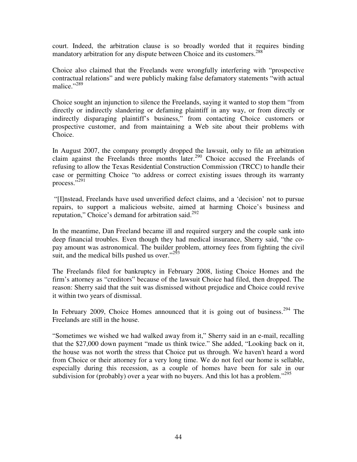court. Indeed, the arbitration clause is so broadly worded that it requires binding mandatory arbitration for any dispute between Choice and its customers.<sup>288</sup>

Choice also claimed that the Freelands were wrongfully interfering with "prospective contractual relations" and were publicly making false defamatory statements "with actual malice."<sup>289</sup>

Choice sought an injunction to silence the Freelands, saying it wanted to stop them "from directly or indirectly slandering or defaming plaintiff in any way, or from directly or indirectly disparaging plaintiff's business," from contacting Choice customers or prospective customer, and from maintaining a Web site about their problems with Choice.

In August 2007, the company promptly dropped the lawsuit, only to file an arbitration claim against the Freelands three months later.<sup>290</sup> Choice accused the Freelands of refusing to allow the Texas Residential Construction Commission (TRCC) to handle their case or permitting Choice "to address or correct existing issues through its warranty process."<sup>291</sup>

 "[I]nstead, Freelands have used unverified defect claims, and a 'decision' not to pursue repairs, to support a malicious website, aimed at harming Choice's business and reputation," Choice's demand for arbitration said.<sup>292</sup>

In the meantime, Dan Freeland became ill and required surgery and the couple sank into deep financial troubles. Even though they had medical insurance, Sherry said, "the copay amount was astronomical. The builder problem, attorney fees from fighting the civil suit, and the medical bills pushed us over." $2^{93}$ 

The Freelands filed for bankruptcy in February 2008, listing Choice Homes and the firm's attorney as "creditors" because of the lawsuit Choice had filed, then dropped. The reason: Sherry said that the suit was dismissed without prejudice and Choice could revive it within two years of dismissal.

In February 2009, Choice Homes announced that it is going out of business.<sup>294</sup> The Freelands are still in the house.

"Sometimes we wished we had walked away from it," Sherry said in an e-mail, recalling that the \$27,000 down payment "made us think twice." She added, "Looking back on it, the house was not worth the stress that Choice put us through. We haven't heard a word from Choice or their attorney for a very long time. We do not feel our home is sellable, especially during this recession, as a couple of homes have been for sale in our subdivision for (probably) over a year with no buyers. And this lot has a problem."<sup>295</sup>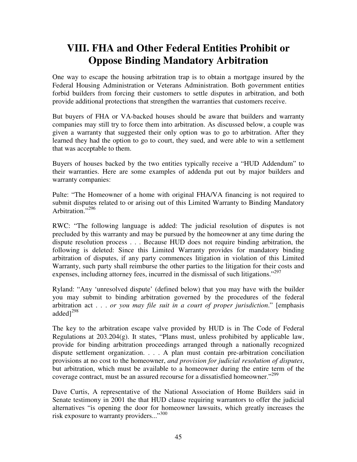# **VIII. FHA and Other Federal Entities Prohibit or Oppose Binding Mandatory Arbitration**

One way to escape the housing arbitration trap is to obtain a mortgage insured by the Federal Housing Administration or Veterans Administration. Both government entities forbid builders from forcing their customers to settle disputes in arbitration, and both provide additional protections that strengthen the warranties that customers receive.

But buyers of FHA or VA-backed houses should be aware that builders and warranty companies may still try to force them into arbitration. As discussed below, a couple was given a warranty that suggested their only option was to go to arbitration. After they learned they had the option to go to court, they sued, and were able to win a settlement that was acceptable to them.

Buyers of houses backed by the two entities typically receive a "HUD Addendum" to their warranties. Here are some examples of addenda put out by major builders and warranty companies:

Pulte: "The Homeowner of a home with original FHA/VA financing is not required to submit disputes related to or arising out of this Limited Warranty to Binding Mandatory Arbitration."<sup>296</sup>

RWC: "The following language is added: The judicial resolution of disputes is not precluded by this warranty and may be pursued by the homeowner at any time during the dispute resolution process . . . Because HUD does not require binding arbitration, the following is deleted: Since this Limited Warranty provides for mandatory binding arbitration of disputes, if any party commences litigation in violation of this Limited Warranty, such party shall reimburse the other parties to the litigation for their costs and expenses, including attorney fees, incurred in the dismissal of such litigations."<sup>297</sup>

Ryland: "Any 'unresolved dispute' (defined below) that you may have with the builder you may submit to binding arbitration governed by the procedures of the federal arbitration act . . . *or you may file suit in a court of proper jurisdiction*." [emphasis added $]^{298}$ 

The key to the arbitration escape valve provided by HUD is in The Code of Federal Regulations at 203.204(g). It states, "Plans must, unless prohibited by applicable law, provide for binding arbitration proceedings arranged through a nationally recognized dispute settlement organization. . . . A plan must contain pre-arbitration conciliation provisions at no cost to the homeowner, *and provision for judicial resolution of disputes*, but arbitration, which must be available to a homeowner during the entire term of the coverage contract, must be an assured recourse for a dissatisfied homeowner."<sup>299</sup>

Dave Curtis, A representative of the National Association of Home Builders said in Senate testimony in 2001 the that HUD clause requiring warrantors to offer the judicial alternatives "is opening the door for homeowner lawsuits, which greatly increases the risk exposure to warranty providers..."<sup>300</sup>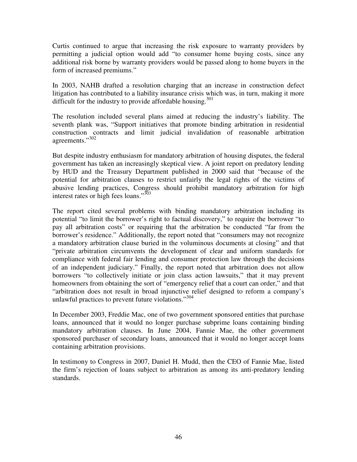Curtis continued to argue that increasing the risk exposure to warranty providers by permitting a judicial option would add "to consumer home buying costs, since any additional risk borne by warranty providers would be passed along to home buyers in the form of increased premiums."

In 2003, NAHB drafted a resolution charging that an increase in construction defect litigation has contributed to a liability insurance crisis which was, in turn, making it more difficult for the industry to provide affordable housing.<sup>301</sup>

The resolution included several plans aimed at reducing the industry's liability. The seventh plank was, "Support initiatives that promote binding arbitration in residential construction contracts and limit judicial invalidation of reasonable arbitration agreements."<sup>302</sup>

But despite industry enthusiasm for mandatory arbitration of housing disputes, the federal government has taken an increasingly skeptical view. A joint report on predatory lending by HUD and the Treasury Department published in 2000 said that "because of the potential for arbitration clauses to restrict unfairly the legal rights of the victims of abusive lending practices, Congress should prohibit mandatory arbitration for high interest rates or high fees loans."<sup>303</sup>

The report cited several problems with binding mandatory arbitration including its potential "to limit the borrower's right to factual discovery," to require the borrower "to pay all arbitration costs" or requiring that the arbitration be conducted "far from the borrower's residence." Additionally, the report noted that "consumers may not recognize a mandatory arbitration clause buried in the voluminous documents at closing" and that "private arbitration circumvents the development of clear and uniform standards for compliance with federal fair lending and consumer protection law through the decisions of an independent judiciary." Finally, the report noted that arbitration does not allow borrowers "to collectively initiate or join class action lawsuits," that it may prevent homeowners from obtaining the sort of "emergency relief that a court can order," and that "arbitration does not result in broad injunctive relief designed to reform a company's unlawful practices to prevent future violations."<sup>304</sup>

In December 2003, Freddie Mac, one of two government sponsored entities that purchase loans, announced that it would no longer purchase subprime loans containing binding mandatory arbitration clauses. In June 2004, Fannie Mae, the other government sponsored purchaser of secondary loans, announced that it would no longer accept loans containing arbitration provisions.

In testimony to Congress in 2007, Daniel H. Mudd, then the CEO of Fannie Mae, listed the firm's rejection of loans subject to arbitration as among its anti-predatory lending standards.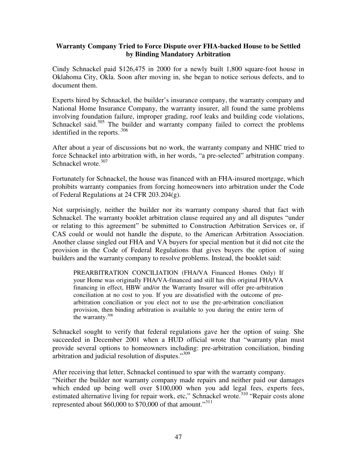#### **Warranty Company Tried to Force Dispute over FHA-backed House to be Settled by Binding Mandatory Arbitration**

Cindy Schnackel paid \$126,475 in 2000 for a newly built 1,800 square-foot house in Oklahoma City, Okla. Soon after moving in, she began to notice serious defects, and to document them.

Experts hired by Schnackel, the builder's insurance company, the warranty company and National Home Insurance Company, the warranty insurer, all found the same problems involving foundation failure, improper grading, roof leaks and building code violations, Schnackel said.<sup>305</sup> The builder and warranty company failed to correct the problems identified in the reports. $306$ 

After about a year of discussions but no work, the warranty company and NHIC tried to force Schnackel into arbitration with, in her words, "a pre-selected" arbitration company. Schnackel wrote.<sup>307</sup>

Fortunately for Schnackel, the house was financed with an FHA-insured mortgage, which prohibits warranty companies from forcing homeowners into arbitration under the Code of Federal Regulations at 24 CFR 203.204(g).

Not surprisingly, neither the builder nor its warranty company shared that fact with Schnackel. The warranty booklet arbitration clause required any and all disputes "under or relating to this agreement" be submitted to Construction Arbitration Services or, if CAS could or would not handle the dispute, to the American Arbitration Association. Another clause singled out FHA and VA buyers for special mention but it did not cite the provision in the Code of Federal Regulations that gives buyers the option of suing builders and the warranty company to resolve problems. Instead, the booklet said:

PREARBITRATION CONCILIATION (FHA/VA Financed Homes Only) If your Home was originally FHA/VA-financed and still has this original FHA/VA financing in effect, HBW and/or the Warranty Insurer will offer pre-arbitration conciliation at no cost to you. If you are dissatisfied with the outcome of prearbitration conciliation or you elect not to use the pre-arbitration conciliation provision, then binding arbitration is available to you during the entire term of the warranty.<sup>308</sup>

Schnackel sought to verify that federal regulations gave her the option of suing. She succeeded in December 2001 when a HUD official wrote that "warranty plan must provide several options to homeowners including: pre-arbitration conciliation, binding arbitration and judicial resolution of disputes."<sup>309</sup>

After receiving that letter, Schnackel continued to spar with the warranty company. "Neither the builder nor warranty company made repairs and neither paid our damages which ended up being well over \$100,000 when you add legal fees, experts fees, estimated alternative living for repair work, etc," Schnackel wrote.<sup>310</sup> "Repair costs alone represented about \$60,000 to \$70,000 of that amount."<sup>311</sup>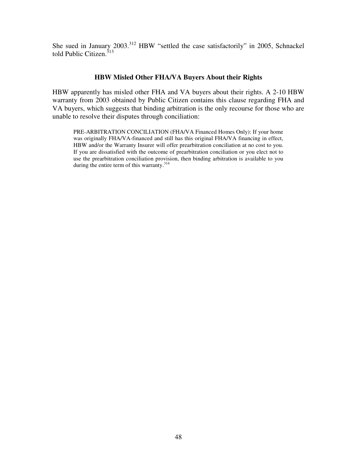She sued in January 2003.<sup>312</sup> HBW "settled the case satisfactorily" in 2005, Schnackel told Public Citizen.<sup>313</sup>

#### **HBW Misled Other FHA/VA Buyers About their Rights**

HBW apparently has misled other FHA and VA buyers about their rights. A 2-10 HBW warranty from 2003 obtained by Public Citizen contains this clause regarding FHA and VA buyers, which suggests that binding arbitration is the only recourse for those who are unable to resolve their disputes through conciliation:

PRE-ARBITRATION CONCILIATION (FHA/VA Financed Homes Only): If your home was originally FHA/VA-financed and still has this original FHA/VA financing in effect, HBW and/or the Warranty Insurer will offer prearbitration conciliation at no cost to you. If you are dissatisfied with the outcome of prearbitration conciliation or you elect not to use the prearbitration conciliation provision, then binding arbitration is available to you during the entire term of this warranty.<sup>314</sup>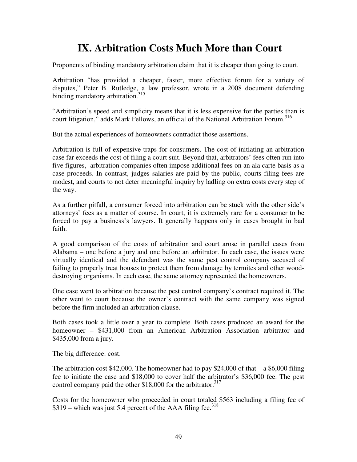# **IX. Arbitration Costs Much More than Court**

Proponents of binding mandatory arbitration claim that it is cheaper than going to court.

Arbitration "has provided a cheaper, faster, more effective forum for a variety of disputes," Peter B. Rutledge, a law professor, wrote in a 2008 document defending binding mandatory arbitration.<sup>315</sup>

"Arbitration's speed and simplicity means that it is less expensive for the parties than is court litigation," adds Mark Fellows, an official of the National Arbitration Forum.<sup>316</sup>

But the actual experiences of homeowners contradict those assertions.

Arbitration is full of expensive traps for consumers. The cost of initiating an arbitration case far exceeds the cost of filing a court suit. Beyond that, arbitrators' fees often run into five figures, arbitration companies often impose additional fees on an ala carte basis as a case proceeds. In contrast, judges salaries are paid by the public, courts filing fees are modest, and courts to not deter meaningful inquiry by ladling on extra costs every step of the way.

As a further pitfall, a consumer forced into arbitration can be stuck with the other side's attorneys' fees as a matter of course. In court, it is extremely rare for a consumer to be forced to pay a business's lawyers. It generally happens only in cases brought in bad faith.

A good comparison of the costs of arbitration and court arose in parallel cases from Alabama – one before a jury and one before an arbitrator. In each case, the issues were virtually identical and the defendant was the same pest control company accused of failing to properly treat houses to protect them from damage by termites and other wooddestroying organisms. In each case, the same attorney represented the homeowners.

One case went to arbitration because the pest control company's contract required it. The other went to court because the owner's contract with the same company was signed before the firm included an arbitration clause.

Both cases took a little over a year to complete. Both cases produced an award for the homeowner – \$431,000 from an American Arbitration Association arbitrator and \$435,000 from a jury.

The big difference: cost.

The arbitration cost \$42,000. The homeowner had to pay \$24,000 of that  $-$  a \$6,000 filing fee to initiate the case and \$18,000 to cover half the arbitrator's \$36,000 fee. The pest control company paid the other \$18,000 for the arbitrator.<sup>317</sup>

Costs for the homeowner who proceeded in court totaled \$563 including a filing fee of  $$319$  – which was just 5.4 percent of the AAA filing fee.<sup>318</sup>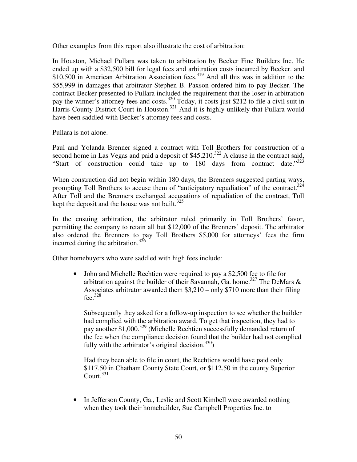Other examples from this report also illustrate the cost of arbitration:

In Houston, Michael Pullara was taken to arbitration by Becker Fine Builders Inc. He ended up with a \$32,500 bill for legal fees and arbitration costs incurred by Becker. and  $$10,500$  in American Arbitration Association fees.<sup>319</sup> And all this was in addition to the \$55,999 in damages that arbitrator Stephen B. Paxson ordered him to pay Becker. The contract Becker presented to Pullara included the requirement that the loser in arbitration pay the winner's attorney fees and costs.<sup>320</sup> Today, it costs just \$212 to file a civil suit in Harris County District Court in Houston.<sup>321</sup> And it is highly unlikely that Pullara would have been saddled with Becker's attorney fees and costs.

Pullara is not alone.

Paul and Yolanda Brenner signed a contract with Toll Brothers for construction of a second home in Las Vegas and paid a deposit of  $$45,210.<sup>322</sup>$  A clause in the contract said, "Start of construction could take up to 180 days from contract date."<sup>323</sup>

When construction did not begin within 180 days, the Brenners suggested parting ways, prompting Toll Brothers to accuse them of "anticipatory repudiation" of the contract.<sup>324</sup> After Toll and the Brenners exchanged accusations of repudiation of the contract, Toll kept the deposit and the house was not built. $325$ 

In the ensuing arbitration, the arbitrator ruled primarily in Toll Brothers' favor, permitting the company to retain all but \$12,000 of the Brenners' deposit. The arbitrator also ordered the Brenners to pay Toll Brothers \$5,000 for attorneys' fees the firm incurred during the arbitration.<sup>326</sup>

Other homebuyers who were saddled with high fees include:

• John and Michelle Rechtien were required to pay a \$2,500 fee to file for arbitration against the builder of their Savannah, Ga. home.<sup>327</sup> The DeMars  $\&$ Associates arbitrator awarded them \$3,210 – only \$710 more than their filing fee. $328$ 

Subsequently they asked for a follow-up inspection to see whether the builder had complied with the arbitration award. To get that inspection, they had to pay another \$1,000.<sup>329</sup> (Michelle Rechtien successfully demanded return of the fee when the compliance decision found that the builder had not complied fully with the arbitrator's original decision.  $330$ )

Had they been able to file in court, the Rechtiens would have paid only \$117.50 in Chatham County State Court, or \$112.50 in the county Superior Court. $331$ 

• In Jefferson County, Ga., Leslie and Scott Kimbell were awarded nothing when they took their homebuilder, Sue Campbell Properties Inc. to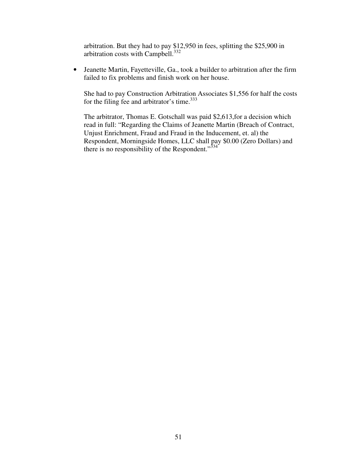arbitration. But they had to pay \$12,950 in fees, splitting the \$25,900 in arbitration costs with Campbell.<sup>332</sup>

• Jeanette Martin, Fayetteville, Ga., took a builder to arbitration after the firm failed to fix problems and finish work on her house.

She had to pay Construction Arbitration Associates \$1,556 for half the costs for the filing fee and arbitrator's time.<sup>333</sup>

The arbitrator, Thomas E. Gotschall was paid \$2,613,for a decision which read in full: "Regarding the Claims of Jeanette Martin (Breach of Contract, Unjust Enrichment, Fraud and Fraud in the Inducement, et. al) the Respondent, Morningside Homes, LLC shall pay \$0.00 (Zero Dollars) and there is no responsibility of the Respondent." $334$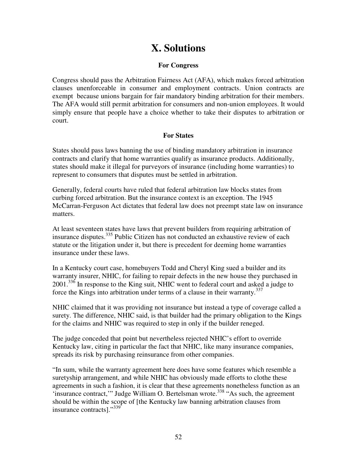### **X. Solutions**

#### **For Congress**

Congress should pass the Arbitration Fairness Act (AFA), which makes forced arbitration clauses unenforceable in consumer and employment contracts. Union contracts are exempt because unions bargain for fair mandatory binding arbitration for their members. The AFA would still permit arbitration for consumers and non-union employees. It would simply ensure that people have a choice whether to take their disputes to arbitration or court.

#### **For States**

States should pass laws banning the use of binding mandatory arbitration in insurance contracts and clarify that home warranties qualify as insurance products. Additionally, states should make it illegal for purveyors of insurance (including home warranties) to represent to consumers that disputes must be settled in arbitration.

Generally, federal courts have ruled that federal arbitration law blocks states from curbing forced arbitration. But the insurance context is an exception. The 1945 McCarran-Ferguson Act dictates that federal law does not preempt state law on insurance matters.

At least seventeen states have laws that prevent builders from requiring arbitration of insurance disputes.<sup>335</sup> Public Citizen has not conducted an exhaustive review of each statute or the litigation under it, but there is precedent for deeming home warranties insurance under these laws.

In a Kentucky court case, homebuyers Todd and Cheryl King sued a builder and its warranty insurer, NHIC, for failing to repair defects in the new house they purchased in 2001.<sup>336</sup> In response to the King suit, NHIC went to federal court and asked a judge to force the Kings into arbitration under terms of a clause in their warranty.<sup>337</sup>

NHIC claimed that it was providing not insurance but instead a type of coverage called a surety. The difference, NHIC said, is that builder had the primary obligation to the Kings for the claims and NHIC was required to step in only if the builder reneged.

The judge conceded that point but nevertheless rejected NHIC's effort to override Kentucky law, citing in particular the fact that NHIC, like many insurance companies, spreads its risk by purchasing reinsurance from other companies.

"In sum, while the warranty agreement here does have some features which resemble a suretyship arrangement, and while NHIC has obviously made efforts to clothe these agreements in such a fashion, it is clear that these agreements nonetheless function as an 'insurance contract,'" Judge William O. Bertelsman wrote.<sup>338</sup> "As such, the agreement should be within the scope of [the Kentucky law banning arbitration clauses from insurance contracts]."<sup>339</sup>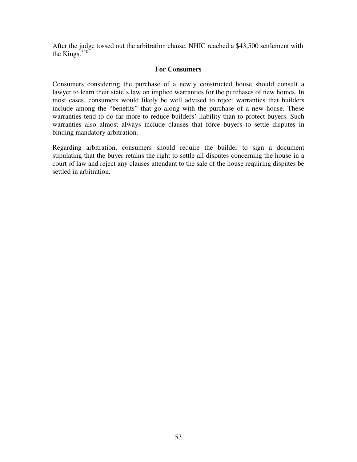After the judge tossed out the arbitration clause, NHIC reached a \$43,500 settlement with the Kings. $340^\circ$ 

#### **For Consumers**

Consumers considering the purchase of a newly constructed house should consult a lawyer to learn their state's law on implied warranties for the purchases of new homes. In most cases, consumers would likely be well advised to reject warranties that builders include among the "benefits" that go along with the purchase of a new house. These warranties tend to do far more to reduce builders' liability than to protect buyers. Such warranties also almost always include clauses that force buyers to settle disputes in binding mandatory arbitration.

Regarding arbitration, consumers should require the builder to sign a document stipulating that the buyer retains the right to settle all disputes concerning the house in a court of law and reject any clauses attendant to the sale of the house requiring disputes be settled in arbitration.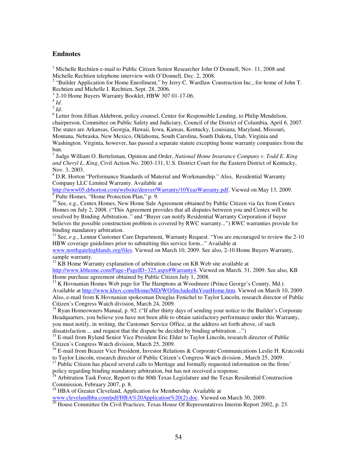#### **Endnotes**

<sup>1</sup> Michelle Rechtien e-mail to Public Citizen Senior Researcher John O'Donnell, Nov. 11, 2008 and Michelle Rechtien telephone interview with O'Donnell, Dec. 2, 2008.

<sup>2</sup> "Builder Application for Home Enrollment," by Jerry C. Wardlaw Construction Inc., for home of John T. Rechtien and Michelle I. Rechtien, Sept. 28, 2006.

3 2-10 Home Buyers Warranty Booklet, HBW 307 01-17-06.

 $^4$  *Id.* 

5 *Id*.

<sup>6</sup> Letter from Jillian Aldebron, policy counsel, Center for Responsible Lending, to Philip Mendelson, chairperson, Committee on Public Safety and Judiciary, Council of the District of Columbia, April 6, 2007. The states are Arkansas, Georgia, Hawaii, Iowa, Kansas, Kentucky, Louisiana, Maryland, Missouri, Montana, Nebraska, New Mexico, Oklahoma, South Carolina, South Dakota, Utah, Virginia and Washington. Virginia, however, has passed a separate statute excepting home warranty companies from the ban.

7 Judge William O. Bertelsman, Opinion and Order, *National Home Insurance Company v*. *Todd E*. *King and Cheryl L*. *King*, Civil Action No. 2003-131, U.S. District Court for the Eastern District of Kentucky, Nov. 3, 2003.

<sup>8</sup> D.R. Horton "Performance Standards of Material and Workmanship." Also, Residential Warranty Company LLC Limited Warranty. Available at

http://www05.drhorton.com/website/denver/Warranty/10YearWarranty.pdf. Viewed on May 13, 2009. <sup>9</sup> Pulte Homes, "Home Protection Plan," p. 9.

<sup>10</sup> See, e.g., Centex Homes, New Home Sale Agreement obtained by Public Citizen via fax from Centex Homes on July 2, 2008. ("This Agreement provides that all disputes between you and Centex will be resolved by Binding Arbitration.." and "Buyer can notify Residential Warranty Corporation if buyer believes the possible construction problem is covered by RWC warranty...") RWC warranties provide for binding mandatory arbitration.

<sup>11</sup> See, *e.g.*, Lennar Customer Care Department, Warranty Request. "You are encouraged to review the 2-10 HBW coverage guidelines prior to submitting this service form..." Available at

www.northgatehighlands.org/files. Viewed on March 10, 2009. See also, 2-10 Home Buyers Warranty, sample warranty.

 $12$  KB Home Warranty explanation of arbitration clause on KB Web site available at http://www.kbhome.com/Page~PageID~325.aspx#Warranty4. Viewed on March. 31, 2009. See also, KB Home purchase agreement obtained by Public Citizen July 1, 2008.

 $13$  K Hovnanian Homes Web page for The Hamptons at Woodmore (Prince George's County, Md.). Available at http://www.khov.com/Home/MD/WO/IncludedInYourHome.htm. Viewed on March 10, 2009. Also, e-mail from K Hovnanian spokesman Douglas Fenichel to Taylor Lincoln, research director of Public Citizen's Congress Watch division, March 24, 2009.

<sup>14</sup> Ryan Homeowners Manual, p. 92. ("If after thirty days of sending your notice to the Builder's Corporate Headquarters, you believe you have not been able to obtain satisfactory performance under this Warranty, you must notify, in writing, the Customer Service Office, at the address set forth above, of such dissatisfaction ... and request that the dispute be decided by binding arbitration ...")

<sup>15</sup> E-mail from Ryland Senior Vice President Eric Elder to Taylor Lincoln, research director of Public Citizen's Congress Watch division, March 25, 2009.

<sup>16</sup> E-mail from Beazer Vice President, Investor Relations & Corporate Communications Leslie H. Kratcoski to Taylor Lincoln, research director of Public Citizen's Congress Watch division , March 25, 2009.

 $17$  Public Citizen has placed several calls to Meritage and formally requested information on the firms' policy regarding binding mandatory arbitration, but has not received a response.

 $<sup>18</sup>$  Arbitration Task Force, Report to the 80th Texas Legislature and the Texas Residential Construction</sup> Commission, February 2007, p. 8.

<sup>19</sup> HBA of Greater Cleveland, Application for Membership. Available at

www.clevelandhba.com/pdf/HBA%20Application%20(2).doc. Viewed on March 30, 2009.

<sup>20</sup> House Committee On Civil Practices, Texas House Of Representatives Interim Report 2002, p. 23.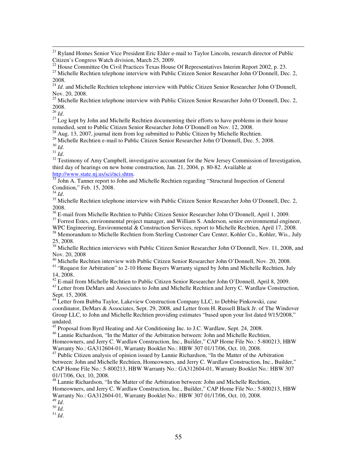<sup>21</sup> Ryland Homes Senior Vice President Eric Elder e-mail to Taylor Lincoln, research director of Public Citizen's Congress Watch division, March 25, 2009.

<sup>22</sup> House Committee On Civil Practices Texas House Of Representatives Interim Report 2002, p. 23.

<sup>23</sup> Michelle Rechtien telephone interview with Public Citizen Senior Researcher John O'Donnell, Dec. 2, 2008.

<sup>24</sup> *Id.* and Michelle Rechtien telephone interview with Public Citizen Senior Researcher John O'Donnell, Nov. 20, 2008.

<sup>25</sup> Michelle Rechtien telephone interview with Public Citizen Senior Researcher John O'Donnell, Dec. 2, 2008.

 $^{26}$  *Id.* 

 $\overline{a}$ 

 $27$  Log kept by John and Michelle Rechtien documenting their efforts to have problems in their house remedied, sent to Public Citizen Senior Researcher John O'Donnell on Nov. 12, 2008.

 $^{28}$  Aug. 13, 2007, journal item from log submitted to Public Citizen by Michelle Rechtien.

<sup>29</sup> Michelle Rechtien e-mail to Public Citizen Senior Researcher John O'Donnell, Dec. 5, 2008.

<sup>30</sup> *Id*.

 $^{31}$  *Id.* 

 $32$  Testimony of Amy Campbell, investigative accountant for the New Jersey Commission of Investigation, third day of hearings on new home construction, Jan. 21, 2004, p. 80-82. Available at http://www.state.nj.us/sci/nci.shtm.

 $\frac{33}{33}$  John A. Tanner report to John and Michelle Rechtien regarding "Structural Inspection of General Condition," Feb. 15, 2008.

<sup>34</sup> *Id*.

<sup>35</sup> Michelle Rechtien telephone interview with Public Citizen Senior Researcher John O'Donnell, Dec. 2, 2008.

<sup>36</sup> E-mail from Michelle Rechtien to Public Citizen Senior Researcher John O'Donnell, April 1, 2009.

 $37$  Forrest Estes, environmental project manager, and William S. Anderson, senior environmental engineer, WPC Engineering, Environmental & Construction Services, report to Michelle Rechtien, April 17, 2008.

<sup>38</sup> Memorandum to Michelle Rechtien from Sterling Customer Care Center, Kohler Co., Kohler, Wis., July 25, 2008.

 $39\text{ Michelle Rechtien interviews with Public Citizen Senior Researcher John O'Donnell, Nov. 11, 2008, and$ Nov. 20, 2008

<sup>40</sup> Michelle Rechtien interview with Public Citizen Senior Researcher John O'Donnell, Nov. 20, 2008.

<sup>41</sup> "Request for Arbitration" to 2-10 Home Buyers Warranty signed by John and Michelle Rechtien, July 14, 2008.

 $^{42}$  E-mail from Michelle Rechtien to Public Citizen Senior Researcher John O'Donnell, April 8, 2009.

<sup>43</sup> Letter from DeMars and Associates to John and Michelle Rechtien and Jerry C. Wardlaw Construction, Sept. 15, 2008.

<sup>44</sup> Letter from Bubba Taylor, Lakeview Construction Company LLC, to Debbie Pinkowski, case coordinator, DeMars & Associates, Sept. 29, 2008, and Letter from H. Russell Black Jr. of The Windover Group LLC, to John and Michelle Rechtien providing estimates "based upon your list dated 9/15/2008," undated.

<sup>45</sup> Proposal from Byrd Heating and Air Conditioning Inc. to J.C. Wardlaw, Sept. 24, 2008.

<sup>46</sup> Lannie Richardson, "In the Matter of the Arbitration between: John and Michelle Rechtien,

Homeowners, and Jerry C. Wardlaw Construction, Inc., Builder," CAP Home File No.: 5-800213, HBW Warranty No.: GA312604-01, Warranty Booklet No.: HBW 307 01/17/06, Oct. 10, 2008.

 $47$  Public Citizen analysis of opinion issued by Lannie Richardson, "In the Matter of the Arbitration between: John and Michelle Rechtien, Homeowners, and Jerry C. Wardlaw Construction, Inc., Builder," CAP Home File No.: 5-800213, HBW Warranty No.: GA312604-01, Warranty Booklet No.: HBW 307 01/17/06, Oct. 10, 2008.

<sup>48</sup> Lannie Richardson, "In the Matter of the Arbitration between: John and Michelle Rechtien, Homeowners, and Jerry C. Wardlaw Construction, Inc., Builder," CAP Home File No.: 5-800213, HBW Warranty No.: GA312604-01, Warranty Booklet No.: HBW 307 01/17/06, Oct. 10, 2008. <sup>49</sup> *Id*.

 $\overline{^{50}}$   $\overline{Id}.$  $^{51}$   $^{14}$ .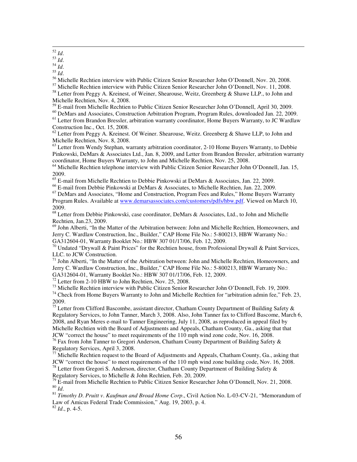<sup>54</sup> *Id*.

<sup>56</sup> Michelle Rechtien interview with Public Citizen Senior Researcher John O'Donnell, Nov. 20, 2008.

<sup>58</sup> Letter from Peggy A. Kreinest, of Weiner, Shearouse, Weitz, Greenberg & Shawe LLP., to John and Michelle Rechtien, Nov. 4, 2008.

<sup>59</sup> E-mail from Michelle Rechtien to Public Citizen Senior Researcher John O'Donnell, April 30, 2009.

<sup>60</sup> DeMars and Associates, Construction Arbitration Program, Program Rules, downloaded Jan. 22, 2009.

 $<sup>61</sup>$  Letter from Brandon Bressler, arbitration warranty coordinator, Home Buyers Warranty, to JC Wardlaw</sup> Construction Inc., Oct. 15, 2008.

 $62$  Letter from Peggy A. Kreinest. Of Weiner. Shearouse, Weitz. Greenberg & Shawe LLP, to John and Michelle Rechtien, Nov. 8, 2008.

 $63$  Letter from Wendy Stephan, warranty arbitration coordinator, 2-10 Home Buyers Warranty, to Debbie Pinkowski, DeMars & Associates Ltd., Jan. 8, 2009, and Letter from Brandon Bressler, arbitration warranty coordinator, Home Buyers Warranty, to John and Michelle Rechtien, Nov. 25, 2008.

<sup>64</sup> Michelle Rechtien telephone interview with Public Citizen Senior Researcher John O'Donnell, Jan. 15, 2009.

<sup>65</sup> E-mail from Michelle Rechtien to Debbie Pinkowski at DeMars & Associates, Jan. 22, 2009.

<sup>66</sup> E-mail from Debbie Pinkowski at DeMars & Associates, to Michelle Rechtien, Jan. 22, 2009.

 $<sup>67</sup>$  DeMars and Associates, "Home and Construction, Program Fees and Rules," Home Buyers Warranty</sup> Program Rules. Available at www.demarsassociates.com/customers/pdfs/hbw.pdf. Viewed on March 10, 2009.

<sup>68</sup> Letter from Debbie Pinkowski, case coordinator, DeMars & Associates, Ltd., to John and Michelle Rechtien, Jan.23, 2009.

<sup>69</sup> John Alberti, "In the Matter of the Arbitration between: John and Michelle Rechtien, Homeowners, and Jerry C. Wardlaw Construction, Inc., Builder," CAP Home File No.: 5-800213, HBW Warranty No.: GA312604-01, Warranty Booklet No.: HBW 307 01/17/06, Feb. 12, 2009.

 $70$  Undated "Drywall & Paint Prices" for the Rechtien house, from Professional Drywall & Paint Services, LLC. to JCW Construction.

 $71$  John Alberti, "In the Matter of the Arbitration between: John and Michelle Rechtien, Homeowners, and Jerry C. Wardlaw Construction, Inc., Builder," CAP Home File No.: 5-800213, HBW Warranty No.: GA312604-01, Warranty Booklet No.: HBW 307 01/17/06, Feb. 12, 2009.

 $72$  Letter from 2-10 HBW to John Rechtien, Nov. 25, 2008.

<sup>73</sup> Michelle Rechtien interview with Public Citizen Senior Researcher John O'Donnell, Feb. 19, 2009.

 $74$  Check from Home Buyers Warranty to John and Michelle Rechtien for "arbitration admin fee," Feb. 23, 2009.

<sup>75</sup> Letter from Clifford Bascombe, assistant director, Chatham County Department of Building Safety  $\&$ Regulatory Services, to John Tanner, March 3, 2008. Also, John Tanner fax to Clifford Bascome, March 6, 2008, and Ryan Meres e-mail to Tanner Engineering, July 11, 2008, as reproduced in appeal filed by Michelle Rechtien with the Board of Adjustments and Appeals, Chatham County, Ga., asking that that JCW "correct the house" to meet requirements of the 110 mph wind zone code, Nov. 16, 2008.

<sup>76</sup> Fax from John Tanner to Gregori Anderson, Chatham County Department of Building Safety & Regulatory Services, April 3, 2008.

<sup>77</sup> Michelle Rechtien request to the Board of Adjustments and Appeals, Chatham County, Ga., asking that JCW "correct the house" to meet requirements of the 110 mph wind zone building code, Nov. 16, 2008. <sup>78</sup> Letter from Gregori S. Anderson, director, Chatham County Department of Building Safety &

Regulatory Services, to Michelle & John Rechtien, Feb. 20, 2009.

 $79$  E-mail from Michelle Rechtien to Public Citizen Senior Researcher John O'Donnell, Nov. 21, 2008.  $\overline{160}$  *Id.* 

<sup>81</sup> *Timothy D*. *Pruitt v*. *Kaufman and Broad Home Corp*., Civil Action No. L-03-CV-21, "Memorandum of Law of Amicus Federal Trade Commission," Aug. 19, 2003, p. 4. <sup>82</sup> *Id*., p. 4-5.

 $\overline{a}$ <sup>52</sup> *Id*.

<sup>53</sup> *Id*.

<sup>55</sup> *Id*.

<sup>57</sup> Michelle Rechtien interview with Public Citizen Senior Researcher John O'Donnell, Nov. 11, 2008.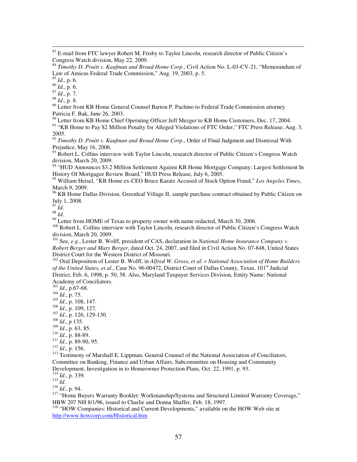$83$  E-mail from FTC lawyer Robert M. Frisby to Taylor Lincoln, research director of Public Citizen's Congress Watch division, May 22, 2009.

<sup>85</sup> *Id*., p. 6.

 $\overline{a}$ 

<sup>86</sup> *Id*., p. 6.

<sup>87</sup> *Id*., p. 7.

<sup>88</sup> *Id*., p. 8.

<sup>89</sup> Letter from KB Home General Counsel Barton P. Pachino to Federal Trade Commission attorney Patricia F. Bak, June 26, 2003.

<sup>90</sup> Letter from KB Home Chief Operating Officer Jeff Mezger to KB Home Customers, Dec. 17, 2004.

<sup>91</sup> "KB Home to Pay \$2 Million Penalty for Alleged Violations of FTC Order," FTC Press Release, Aug. 3, 2005.

<sup>92</sup> *Timothy D*. *Pruitt v*. *Kaufman and Broad Home Corp*., Order of Final Judgment and Dismissal With Prejudice, May 16, 2006.

 $93$  Robert L. Collins interview with Taylor Lincoln, research director of Public Citizen's Congress Watch division, March 20, 2009.

<sup>94</sup> "HUD Announces \$3.2 Million Settlement Against KB Home Mortgage Company: Largest Settlement In History Of Mortgagee Review Board," HUD Press Release, July 6, 2005.

<sup>95</sup> William Heisel, "KB Home ex-CEO Bruce Karatz Accused of Stock Option Fraud," *Los Angeles Times*, March 9, 2009.

<sup>96</sup> KB Home Dallas Division, Greenleaf Village II, sample purchase contract obtained by Public Citizen on July 1, 2008.

<sup>97</sup> *Id*.

<sup>98</sup> *Id*.

<sup>99</sup> Letter from HOME of Texas to property owner with name redacted, March 30, 2006.

<sup>100</sup> Robert L. Collins interview with Taylor Lincoln, research director of Public Citizen's Congress Watch division, March 20, 2009.

<sup>101</sup> See, *e*.*g*., Lester B. Wolff, president of CAS, declaration in *National Home Insurance Company v*. *Robert Berger and Mary Berger*, dated Oct. 24, 2007, and filed in Civil Action No. 07-848, United States District Court for the Western District of Missouri.

<sup>102</sup> Oral Deposition of Lester B. Wolff, in *Alfred W*. *Gross*, *et al*. *v National Association of Home Builders of the United States, et al., Case No.* 96-00472, District Court of Dallas County, Texas, 101<sup>st</sup> Judicial District, Feb. 6, 1998, p. 50, 58. Also, Maryland Taxpayer Services Division, Entity Name: National Academy of Conciliators.

<sup>103</sup> *Id*., p.67-68.

 $^{104}$  *Id.*, p. 75.

<sup>105</sup> *Id*., p. 108, 147.

<sup>106</sup> *Id*., p. 109, 127.

<sup>107</sup> *Id*., p. 126, 129-130.

<sup>108</sup> *Id*., p 135.

<sup>109</sup> *Id*., p. 63, 85.

<sup>110</sup> *Id*., p. 88-89.

<sup>111</sup> *Id*., p. 89-90, 95.

<sup>112</sup> *Id*., p. 156.

<sup>113</sup> Testimony of Marshall E. Lippman, General Counsel of the National Association of Conciliators, Committee on Banking, Finance and Urban Affairs, Subcommittee on Housing and Community Development, Investigation in to Homeowner Protection Plans, Oct. 22, 1991, p. 93.

<sup>114</sup> *Id*., p. 339.

 $^{115}$  *Id.* 

<sup>116</sup> *Id*., p. 94.

<sup>117</sup> "Home Buyers Warranty Booklet: Workmanship/Systems and Structural Limited Warranty Coverage," HBW 207 NH 8/1/96, issued to Charlie and Donna Shaffer, Feb. 18, 1997.

<sup>118</sup> "HOW Companies: Historical and Current Developments," available on the HOW Web site at http://www.howcorp.com/Historical.htm

<sup>84</sup> *Timothy D*. *Pruitt v*. *Kaufman and Broad Home Corp*., Civil Action No. L-03-CV-21, "Memorandum of Law of Amicus Federal Trade Commission," Aug. 19, 2003, p. 5.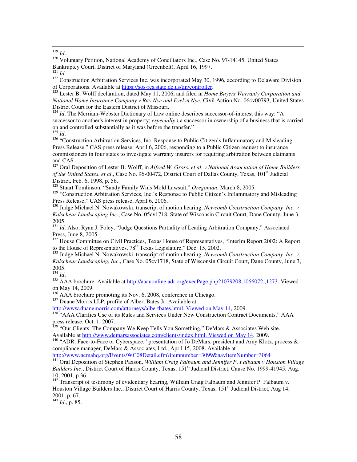<sup>120</sup> Voluntary Petition, National Academy of Conciliators Inc., Case No. 97-14145, United States Bankruptcy Court, District of Maryland (Greenbelt), April 16, 1997.

<sup>122</sup> Construction Arbitration Services Inc. was incorporated May 30, 1996, according to Delaware Division of Corporations. Available at https://sos-res.state.de.us/tin/controller.

<sup>123</sup> Lester B. Wolff declaration, dated May 11, 2006, and filed in *Home Buyers Warranty Corporation and National Home Insurance Company v Ray Nye and Evelyn Nye*, Civil Action No. 06cv00793, United States District Court for the Eastern District of Missouri.

<sup>124</sup> *Id*. The Merriam-Webster Dictionary of Law online describes successor-of-interest this way: "A successor to another's interest in property; *especially* **:** a successor in ownership of a business that is carried on and controlled substantially as it was before the transfer."

<sup>125</sup> *Id*.

<sup>126</sup> "Construction Arbitration Services, Inc. Response to Public Citizen's Inflammatory and Misleading Press Release," CAS press release, April 6, 2006, responding to a Public Citizen request to insurance commissioners in four states to investigate warranty insurers for requiring arbitration between claimants and CAS.

<sup>127</sup> Oral Deposition of Lester B. Wolff, in *Alfred W*. *Gross*, *et al*. *v National Association of Home Builders of the United States, et al., Case No. 96-00472, District Court of Dallas County, Texas, 101<sup>st</sup> Judicial* District, Feb. 6, 1998, p. 56.

<sup>128</sup> Stuart Tomlinson, "Sandy Family Wins Mold Lawsuit," *Oregonian*, March 8, 2005.

<sup>129</sup> "Construction Arbitration Services, Inc.'s Response to Public Citizen's Inflammatory and Misleading Press Release," CAS press release, April 6, 2006.

<sup>130</sup> Judge Michael N. Nowakowski, transcript of motion hearing, *Newcomb Construction Company Inc*. *v Kalscheur Landscaping Inc*., Case No. 05cv1718, State of Wisconsin Circuit Court, Dane County, June 3, 2005.

<sup>131</sup> *Id.* Also, Ryan J. Foley, "Judge Questions Partiality of Leading Arbitration Company," Associated Press, June 8, 2005.

<sup>132</sup> House Committee on Civil Practices, Texas House of Representatives, "Interim Report 2002: A Report to the House of Representatives,  $78<sup>th</sup>$  Texas Legislature," Dec. 15, 2002.

<sup>133</sup> Judge Michael N. Nowakowski, transcript of motion hearing, *Newcomb Construction Company Inc*. *v Kalscheur Landscaping*, *Inc*., Case No. 05cv1718, State of Wisconsin Circuit Court, Dane County, June 3, 2005.

 $134$  *Id.* 

135 AAA brochure. Available at http://aaauonline.adr.org/execPage.php?1079208,1066072,,1273. Viewed on May 14, 2009.

<sup>136</sup> AAA brochure promoting its Nov. 6, 2008, conference in Chicago.

<sup>137</sup> Duane Morris LLP, profile of Albert Bates Jr. Available at

http://www.duanemorris.com/attorneys/albertbates.html. Viewed on May 14, 2009.

<sup>138 "</sup>AAA Clarifies Use of its Rules and Services Under New Construction Contract Documents," AAA press release, Oct. 1, 2007.

<sup>139</sup> "Our Clients: The Company We Keep Tells You Something," DeMars & Associates Web site. Available at http://www.demarsassociates.com/clients/index.html. Viewed on May 14, 2009.

<sup>140</sup> "ADR: Face-to-Face or Cyberspace," presentation of Jo DeMars, president and Amy Klotz, process & compliance manager, DeMars & Associates, Ltd., April 15, 2008. Available at

http://www.ncmahq.org/Events/WC08Detail.cfm?itemnumber=3099&navItemNumber=3064

<sup>141</sup> Oral Deposition of Stephen Paxson, *William Craig Falbaum and Jennifer P*. *Falbaum v Houston Village Builders Inc.*, District Court of Harris County, Texas, 151<sup>st</sup> Judicial District, Cause No. 1999-41945, Aug. 10, 2001, p 36.

 $142$  Transcript of testimony of evidentiary hearing, William Craig Falbaum and Jennifer P. Falbaum v. Houston Village Builders Inc., District Court of Harris County, Texas, 151<sup>st</sup> Judicial District, Aug 14, 2001, p. 67.

<sup>143</sup> *Id*., p. 85.

 $\overline{a}$ <sup>119</sup> *Id*.

<sup>121</sup> *Id.*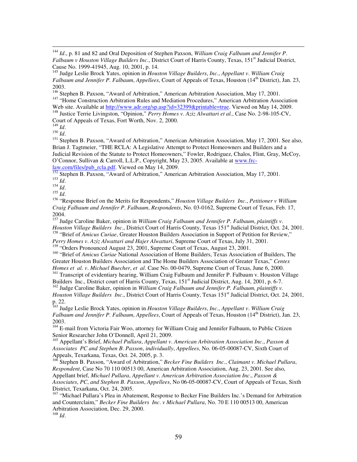<sup>144</sup> *Id*., p. 81 and 82 and Oral Deposition of Stephen Paxson, *William Craig Falbaum and Jennifer P*. *Falbaum v Houston Village Builders Inc., District Court of Harris County, Texas, 151<sup>st</sup> Judicial District,* Cause No. 1999-41945, Aug. 10, 2001, p. 14.

- <sup>146</sup> Stephen B. Paxson, "Award of Arbitration," American Arbitration Association, May 17, 2001.
- <sup>147</sup> "Home Construction Arbitration Rules and Mediation Procedures," American Arbitration Association Web site. Available at http://www.adr.org/sp.asp?id=32399&printable=true. Viewed on May 14, 2009.

<sup>148</sup> Justice Terrie Livingston, "Opinion," *Perry Homes v*. *Aziz Alwattari et al.*, Case No. 2-98-105-CV,

Court of Appeals of Texas, Fort Worth, Nov. 2, 2000.

<sup>149</sup> *Id*.

 $\overline{a}$ 

<sup>150</sup> *Id*.

<sup>151</sup> Stephen B. Paxson, "Award of Arbitration," American Arbitration Association, May 17, 2001. See also, Brian J. Tagtmeier, "THE RCLA: A Legislative Attempt to Protect Homeowners and Builders and a Judicial Revision of the Statute to Protect Homeowners," Fowler, Rodriguez, Chalos, Flint, Gray, McCoy, O'Connor, Sullivan & Carroll, L.L.P., Copyright, May 23, 2005. Available at www.frclaw.com/files/pub\_rcla.pdf. Viewed on May 14, 2009.

<sup>152</sup> Stephen B. Paxson, "Award of Arbitration," American Arbitration Association, May 17, 2001. <sup>153</sup> *Id*.

<sup>154</sup> *Id*.

<sup>155</sup> *Id*.

<sup>156</sup> "Response Brief on the Merits for Respondents," *Houston Village Builders Inc*., *Petitioner v William Craig Falbaum and Jennifer P*. *Falbaum*, *Respondents*, No. 03-0162, Supreme Court of Texas, Feb. 17, 2004.

<sup>157</sup> Judge Caroline Baker, opinion in *William Craig Falbaum and Jennifer P*. *Falbaum*, *plaintiffs v*. *Houston Village Builders Inc.*, District Court of Harris County, Texas 151<sup>st</sup> Judicial District, Oct. 24, 2001. <sup>158</sup> "Brief of *Amicus Curiae*, Greater Houston Builders Association in Support of Petition for Review,"

*Perry Homes v*. *Aziz Alwattari and Hajer Alwattari*, Supreme Court of Texas, July 31, 2001.

<sup>159</sup> "Orders Pronounced August 23, 2001, Supreme Court of Texas, August 23, 2001.

<sup>160</sup> "Brief of *Amicus Curiae* National Association of Home Builders, Texas Association of Builders, The Greater Houston Builders Association and The Home Builders Association of Greater Texas," *Centex Homes et al*. *v*. *Michael Buecher*, *et al*. Case No. 00-0479, Supreme Court of Texas, June 6, 2000.

161 Transcript of evidentiary hearing, William Craig Falbaum and Jennifer P. Falbaum v. Houston Village Builders Inc., District court of Harris County, Texas, 151<sup>st</sup> Judicial District, Aug. 14, 2001, p. 6-7.

<sup>162</sup> Judge Caroline Baker, opinion in *William Craig Falbaum and Jennifer P. Falbaum, plaintiffs v. Houston Village Builders Inc.*, District Court of Harris County, Texas 151<sup>st</sup> Judicial District, Oct. 24, 2001, p. 22.

<sup>163</sup> Judge Leslie Brock Yates, opinion in *Houston Village Builders*, *Inc*., *Appellant v*. *William Craig Falbaum and Jennifer P*. *Falbaum*, *Appellees*, Court of Appeals of Texas, Houston (14th District), Jan. 23, 2003.

<sup>164</sup> E-mail from Victoria Fair Woo, attorney for William Craig and Jennifer Falbaum, to Public Citizen Senior Researcher John O'Donnell, April 21, 2009.

<sup>165</sup> Appellant's Brief, *Michael Pullara*, *Appellant v*. *American Arbitration Association Inc*., *Paxson & Associates PC and Stephen B*. *Paxson*, *individually*, *Appellees*, No. 06-05-00087-CV, Sixth Court of Appeals, Texarkana, Texas, Oct. 24, 2005, p. 3.

<sup>166</sup> Stephen B. Paxson, "Award of Arbitration," *Becker Fine Builders Inc*., *Claimant v*. *Michael Pullara*, *Respondent*, Case No 70 110 00513 00, American Arbitration Association, Aug. 23, 2001. See also, Appellant brief, *Michael Pullara*, *Appellant v*. *American Arbitration Association Inc*., *Paxson & Associates*, *PC*, *and Stephen B*. *Paxson*, *Appellees*, No 06-05-00087-CV, Court of Appeals of Texas, Sixth District, Texarkana, Oct. 24, 2005.

<sup>167</sup> "Michael Pullara's Plea in Abatement, Response to Becker Fine Builders Inc.'s Demand for Arbitration and Counterclaim," *Becker Fine Builders Inc*. *v Michael Pullara*, No. 70 E 110 00513 00, American Arbitration Association, Dec. 29, 2000.

<sup>168</sup> *Id*.

<sup>145</sup> Judge Leslie Brock Yates, opinion in *Houston Village Builders*, *Inc*., *Appellant v*. *William Craig Falbaum and Jennifer P*. *Falbaum*, *Appellees*, Court of Appeals of Texas, Houston (14th District), Jan. 23, 2003.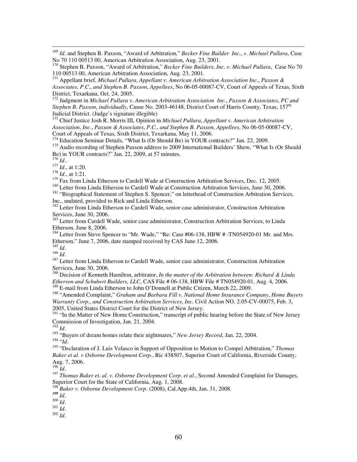<sup>169</sup> *Id*. and Stephen B. Paxson, "Award of Arbitration," *Becker Fine Builder Inc*., *v*. *Michael Pullara*, Case No 70 110 00513 00, American Arbitration Association, Aug. 23, 2001.

<sup>170</sup> Stephen B. Paxson, "Award of Arbitration," *Becker Fine Builders*, *Inc*. *v*. *Michael Pullara*, Case No 70 110 00513 00, American Arbitration Association, Aug. 23, 2001.

<sup>171</sup> Appellant brief, *Michael Pullara*, *Appellant v*. *American Arbitration Association Inc*., *Paxson & Associates*, *P*.*C*., *and Stephen B*. *Paxson*, *Appellees*, No 06-05-00087-CV, Court of Appeals of Texas, Sixth District, Texarkana, Oct. 24, 2005.

<sup>172</sup> Judgment in *Michael Pullara v*. *American Arbitration Association Inc*., *Paxson & Associates*, *PC and Stephen B*. *Paxson*, *individually*, Cause No. 2003-46148, District Court of Harris County, Texas, 157th Judicial District. (Judge's signature illegible)

<sup>173</sup> Chief Justice Josh R. Morris III, Opinion in *Michael Pullara*, *Appellant v*. *American Arbitration Association*, *Inc*., *Paxson & Associates*, *P*.*C*., *and Stephen B*. *Paxson*, *Appellees*, No 06-05-00087-CV, Court of Appeals of Texas, Sixth District, Texarkana, May 11, 2006.

<sup>174</sup> Education Seminar Details, "What Is (Or Should Be) in YOUR contracts?" Jan. 22, 2009.

<sup>175</sup> Audio recording of Stephen Paxson address to 2009 International Builders' Show, "What Is (Or Should Be) in YOUR contracts?" Jan. 22, 2009, at 57 minutes.

 $^{176}$  *Id..* 

 $\overline{a}$ 

<sup>177</sup> *Id*., at 1:20.

<sup>178</sup> *Id*., at 1:21.

 $179$  Fax from Linda Etherson to Cardell Wade at Construction Arbitration Services, Dec. 12, 2005.

<sup>180</sup> Letter from Linda Etherson to Cardell Wade at Construction Arbitration Services, June 30, 2006.

<sup>181</sup> "Biographical Statement of Stephen S. Spencer," on letterhead of Construction Arbitration Services, Inc., undated, provided to Rick and Linda Etherson.

<sup>182</sup> Letter from Linda Etherson to Cardell Wade, senior case administrator, Construction Arbitration Services, June 30, 2006.

<sup>183</sup> Letter from Cardell Wade, senior case administrator, Construction Arbitration Services, to Linda Etherson, June 8, 2006.

Etherson, June 6, 2000.<br><sup>184</sup> Letter from Steve Spencer to "Mr. Wade," "Re: Case #06-138, HBW # -TN054920-01 Mr. and Mrs. Etherson," June 7, 2006, date stamped received by CAS June 12, 2006.

<sup>185</sup> *Id*.

<sup>186</sup> *Id*.

<sup>187</sup> Letter from Linda Etherson to Cardell Wade, senior case administrator, Construction Arbitration Services, June 30, 2006.

<sup>188</sup> Decision of Kenneth Hamilton, arbitrator, *In the matter of the Arbitration between: Richard & Linda Etherson and Schubert Builders*, *LLC*, CAS File # 06-138, HBW File # TN054920-01, Aug. 4, 2006. <sup>189</sup> E-mail from Linda Etherson to John O'Donnell at Public Citizen, March 22, 2009.

<sup>190</sup> "Amended Complaint," *Graham and Barbara Fill v*. *National Home Insurance Company*, *Home Buyers Warranty Corp*., *and Construction Arbitration Services*, *Inc*. Civil Action NO. 2:05-CV-00075, Feb. 3, 2005, United States District Court for the District of New Jersey.

<sup>191</sup> "In the Matter of New Home Construction," transcript of public hearing before the State of New Jersey Commission of Investigation, Jan. 21, 2004.

<sup>192</sup> *Id*.

<sup>193</sup> "Buyers of dream homes relate their nightmares," *New Jersey Record*, Jan. 22, 2004.

<sup>194</sup> "*Id*.

<sup>195</sup> "Declaration of J. Luis Velasco in Support of Opposition to Motion to Compel Arbitration," *Thomas Baker et al. v Osborne Development Corp*., Ric 438507, Superior Court of California, Riverside County, Aug. 7, 2006.

<sup>196</sup> *Id*.

<sup>197</sup> *Thomas Baker et. al. v. Osborne Development Corp. et al.*, Second Amended Complaint for Damages, Superior Court for the State of California, Aug. 1, 2008. Superior Court for the State of California, Aug. 1, 2008.

<sup>198</sup> *Baker v*. *Osborne Development Corp*. (2008), Cal.App.4th, Jan. 31, 2008.

*<sup>199</sup> Id*.

<sup>200</sup> *Id*.

<sup>201</sup> *Id*.

<sup>202</sup> *Id*.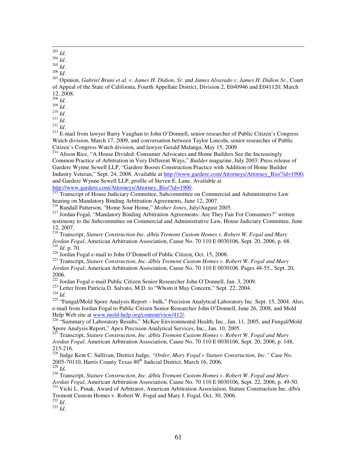$\overline{a}$ <sup>203</sup> *Id*.

 $^{204}\,Id.$ 

 $^{205}$  *Id.* 

<sup>206</sup> *Id*.

<sup>207</sup> Opinion, *Gabriel Bruni et al. v*. *James H*. *Didion*, *Sr*. and *James Alvarado v*. *James H*. *Didion Sr*., Court of Appeal of the State of California, Fourth Appellate District, Division 2, E040946 and E041120, March 12, 2008.

 $^{208}$  *Id.* 

 $^{209}$  *Id*.

<sup>210</sup> *Id*.

 $^{211}$  *Id.* 

<sup>212</sup> *Id*.

<sup>213</sup> E-mail from lawyer Barry Vaughan to John O'Donnell, senior researcher of Public Citizen's Congress Watch division, March 17, 2009, and conversation between Taylor Lincoln, senior researcher of Public Citizen's Congress Watch division, and lawyer Gerald Malanga, May 15, 2009.

<sup>214</sup> Alison Rice, "A House Divided: Consumer Advocates and Home Builders See the Increasingly Common Practice of Arbitration in Very Different Ways," *Builder* magazine, July 2003; Press release of Gardere Wynne Sewell LLP, "Gardere Boosts Construction Practice with Addition of Home Builder Industry Veteran," Sept. 24, 2008. Available at http://www.gardere.com/Attorneys/Attorney\_Bio/?id=1900; and Gardere Wynne Sewell LLP, profile of Steven E. Lane. Available at http://www.gardere.com/Attorneys/Attorney\_Bio/?id=1900.

<sup>215</sup> Transcript of House Judiciary Committee, Subcommittee on Commercial and Administrative Law hearing on Mandatory Binding Arbitration Agreements, June 12, 2007.

<sup>216</sup> Randall Patterson, "Home Sour Home," *Mother Jones*, July/August 2005.

<sup>217</sup> Jordan Fogal, "Mandatory Binding Arbitration Agreements: Are They Fair For Consumers?" written testimony to the Subcommittee on Commercial and Administrative Law, House Judiciary Committee, June 12, 2007.

<sup>218</sup> Transcript, *Stature Construction Inc*. *d/b/a Tremont Custom Homes v*. *Robert W*. *Fogal and Mary Jordan Fogal*, American Arbitration Association, Cause No. 70 110 E 0030106, Sept. 20, 2006, p. 68. <sup>219</sup> *Id*. p. 70.

<sup>220</sup> Jordan Fogal e-mail to John O'Donnell of Public Citizen, Oct. 15, 2008.

<sup>221</sup> Transcript, *Stature Construction*, *Inc*. *d/b/a Tremont Custom Homes v*. *Robert W*. *Fogal and Mary Jordan Fogal*, American Arbitration Association, Cause No. 70 110 E 0030106. Pages 48-55., Sept. 20, 2006.

<sup>222</sup> Jordan Fogal e-mail Public Citizen Senior Researcher John O'Donnell, Jan. 3, 2009.

<sup>223</sup> Letter from Patricia D. Salvato, M.D. to "Whom it May Concern," Sept. 22, 2004.

<sup>224</sup> *Id*.

<sup>225</sup> "Fungal/Mold Spore Analysis Report – bulk," Precision Analytical Laboratory Inc. Sept. 15, 2004. Also, e-mail from Jordan Fogal to Public Citizen Senior Researcher John O'Donnell, June 26, 2008, and Mold Help Web site at www.mold-help.org/content/view/412/.

<sup>226</sup> "Summary of Laboratory Results," McKee Environmental Health, Inc., Jan. 11, 2005, and Fungal/Mold Spore Analysis Report," Apex Precision Analytical Services, Inc., Jan. 10, 2005.

<sup>227</sup> Transcript, *Stature Construction*, *Inc*. *d/b/a Tremont Custom Homes v*. *Robert W*. *Fogal and Mary Jordan Fogal*, American Arbitration Association, Cause No. 70 110 E 0030106, Sept. 20, 2006, p. 148, 215-216.

<sup>228</sup> Judge Kent C. Sullivan, District Judge, *"Order*, *Mary Fogal v Stature Construction*, *Inc*.*"* Case No. 2005-70110, Harris County Texas 80<sup>th</sup> Judicial District, March 16, 2006. <sup>229</sup> *Id.*

<sup>230</sup> Transcript, *Stature Construction*, *Inc*. *d/b/a Tremont Custom Homes v*. *Robert W*. *Fogal and Mary Jordan Fogal*, American Arbitration Association, Cause No. 70 110 E 0030106, Sept. 22, 2006, p. 49-50. <sup>231</sup> Vicki L. Pinak, Award of Arbitrator, American Arbitration Association, Stature Construction Inc. d/b/a Tremont Custom Homes v. Robert W. Fogal and Mary J. Fogal, Oct. 30, 2006. <sup>232</sup> *Id*.

 $^{233}$  *Id.*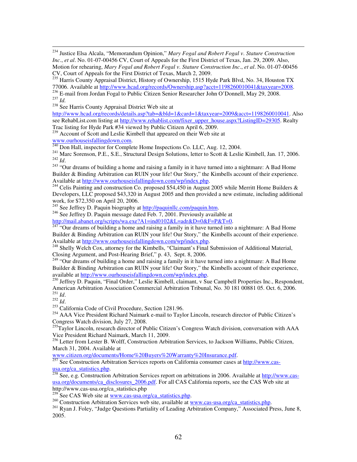$\overline{a}$ <sup>234</sup> Justice Elsa Alcala, "Memorandum Opinion," *Mary Fogal and Robert Fogal v*. *Stature Construction Inc*., *et al*. No. 01-07-00456 CV, Court of Appeals for the First District of Texas, Jan. 29, 2009. Also, Motion for rehearing, *Mary Fogal and Robert Fogal v*. *Stature Construction Inc*., *et al*. No. 01-07-00456 CV, Court of Appeals for the First District of Texas, March 2, 2009.

<sup>235</sup> Harris County Appraisal District, History of Ownership, 1515 Hyde Park Blvd, No. 34, Houston TX 77006. Available at http://www.hcad.org/records/Ownership.asp?acct=1198260010041&taxyear=2008. <sup>236</sup> E-mail from Jordan Fogal to Public Citizen Senior Researcher John O'Donnell, May 29, 2008. <sup>237</sup> *Id.*

<sup>238</sup> See Harris County Appraisal District Web site at

http://www.hcad.org/records/details.asp?tab=&bld=1&card=1&taxyear=2009&acct=1198260010041. Also see RehabList.com listing at http://www.rehablist.com/fixer\_upper\_house.aspx?ListingID=29305. Realty Trac listing for Hyde Park #34 viewed by Public Citizen April 6, 2009.

<sup>239</sup> Account of Scott and Leslie Kimbell that appeared on their Web site at

www.ourhouseisfallingdown.com.

<sup>240</sup> Don Hall, inspector for Complete Home Inspections Co. LLC, Aug. 12, 2004.

<sup>241</sup> Marc Sorenson, P.E., S.E., Structural Design Solutions, letter to Scott & Leslie Kimbell, Jan. 17, 2006.  $^{242}$  *Id.* 

<sup>243</sup> "Our dreams of building a home and raising a family in it have turned into a nightmare: A Bad Home Builder & Binding Arbitration can RUIN your life! Our Story," the Kimbells account of their experience. Available at http://www.ourhouseisfallingdown.com/wp/index.php.

<sup>244</sup> Celis Painting and construction Co. proposed \$54,450 in August 2005 while Merritt Home Builders & Developers, LLC proposed \$43,320 in August 2005 and then provided a new estimate, including additional work, for \$72,350 on April 20, 2006.

<sup>245</sup> See Jeffrey D. Paquin biography at http://paquinllc.com/paquin.htm.

<sup>246</sup> See Jeffrey D. Paquin message dated Feb. 7, 2001. Previously available at http://mail.abanet.org/scripts/wa.exe?A1=ind0102&L=adr&D=0&F=P&T=0.

 $247$  "Our dreams of building a home and raising a family in it have turned into a nightmare: A Bad Home

Builder & Binding Arbitration can RUIN your life! Our Story," the Kimbells account of their experience. Available at http://www.ourhouseisfallingdown.com/wp/index.php.

<sup>248</sup> Shelly Welch Cox, attorney for the Kimbells, "Claimant's Final Submission of Additional Material, Closing Argument, and Post-Hearing Brief," p. 43, Sept. 8, 2006.

<sup>249</sup> "Our dreams of building a home and raising a family in it have turned into a nightmare: A Bad Home Builder & Binding Arbitration can RUIN your life! Our Story," the Kimbells account of their experience, available at http://www.ourhouseisfallingdown.com/wp/index.php.<br><sup>250</sup> Jeffrey D. Paquin, "Final Order," Leslie Kimbell, claimant, v Sue Campbell Properties Inc., Respondent,

<sup>250</sup> Jeffrey D. Paquin, "Final Order," Leslie Kimbell, claimant, v Sue Campbell Properties Inc., Respondent, American Arbitration Association Commercial Arbitration Tribunal, No. 30 181 00881 05. Oct. 6, 2006. <sup>251</sup> *Id*.

 $^{252}$  *Id.* 

<sup>253</sup> California Code of Civil Procedure, Section 1281.96.

<sup>254</sup> AAA Vice President Richard Naimark e-mail to Taylor Lincoln, research director of Public Citizen's Congress Watch division, July 27, 2008.

<sup>255</sup>Taylor Lincoln, research director of Public Citizen's Congress Watch division, conversation with AAA Vice President Richard Naimark, March 11, 2009.

<sup>256</sup> Letter from Lester B. Wolff, Construction Arbitration Services, to Jackson Williams, Public Citizen, March 31, 2004. Available at

www.citizen.org/documents/Home%20Buyers%20Warranty%20Insurance.pdf.

<sup>257</sup> See Construction Arbitration Services reports on California consumer cases at http://www.casusa.org/ca\_statistics.php.

<sup>258</sup> See, e.g. Construction Arbitration Services report on arbitrations in 2006. Available at **http://www.cas**usa.org/documents/ca\_disclosures\_2006.pdf. For all CAS California reports, see the CAS Web site at http://www.cas-usa.org/ca\_statistics.php

<sup>259</sup> See CAS Web site at  $\underline{www.cas-usa.org/ca}$  statistics.php.

<sup>260</sup> Construction Arbitration Services web site, available at **www.cas-usa.org/ca\_statistics.php.** 

<sup>261</sup> Ryan J. Foley, "Judge Questions Partiality of Leading Arbitration Company," Associated Press, June 8, 2005.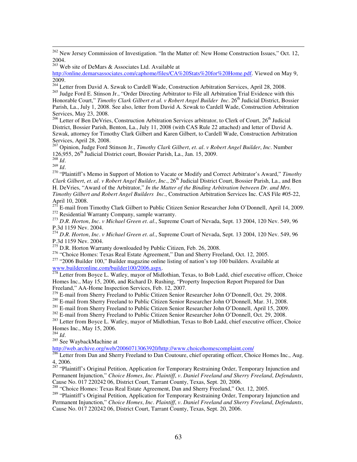$\overline{a}$ <sup>262</sup> New Jersey Commission of Investigation. "In the Matter of: New Home Construction Issues," Oct. 12, 2004.

 $^{263}_{263}$  Web site of DeMars & Associates Ltd. Available at

http://online.demarsassociates.com/caphome/files/CA%20Stats%20for%20Home.pdf. Viewed on May 9. 2009.

<sup>264</sup> Letter from David A. Szwak to Cardell Wade, Construction Arbitration Services, April 28, 2008. <sup>265</sup> Judge Ford E. Stinson Jr., "Order Directing Arbitrator to File all Arbitration Trial Evidence with this Honorable Court," *Timothy Clark Gilbert et al. v Robert Angel Builder Inc*. 26th Judicial District, Bossier Parish, La., July 1, 2008. See also, letter from David A. Szwak to Cardell Wade, Construction Arbitration

Services, May 23, 2008.

<sup>266</sup> Letter of Ben DeVries, Construction Arbitration Services arbitrator, to Clerk of Court, 26<sup>th</sup> Judicial District, Bossier Parish, Benton, La., July 11, 2008 (with CAS Rule 22 attached) and letter of David A. Szwak, attorney for Timothy Clark Gilbert and Karen Gilbert, to Cardell Wade, Construction Arbitration Services, April 28, 2008.

<sup>267</sup> Opinion, Judge Ford Stinson Jr., *Timothy Clark Gilbert*, *et*. *al*. *v Robert Angel Builder*, *Inc*. Number 126,955, 26<sup>th</sup> Judicial District court, Bossier Parish, La., Jan. 15, 2009.

<sup>268</sup> *Id*.  $^{269}$  *Id.* 

<sup>270</sup> "Plaintiff's Memo in Support of Motion to Vacate or Modify and Correct Arbitrator's Award," *Timothy Clark Gilbert*, *et*. *al*. *v Robert Angel Builder*, *Inc*., 26th Judicial District Court, Bossier Parish, La., and Ben H. DeVries, "Award of the Arbitrator," *In the Matter of the Binding Arbitration between Dr*. *and Mrs*. *Timothy Gilbert and Robert Angel Builders Inc*., Construction Arbitration Services Inc. CAS File #05-22, April 10, 2008.

E-mail from Timothy Clark Gilbert to Public Citizen Senior Researcher John O'Donnell, April 14, 2009. <sup>272</sup> Residential Warranty Company, sample warranty.

<sup>273</sup> *D*.*R*. *Horton*, *Inc*. *v Michael Green et*. *al*., Supreme Court of Nevada, Sept. 13 2004, 120 Nev. 549, 96 P.3d 1159 Nev. 2004.

<sup>274</sup> *D*.*R*. *Horton*, *Inc*. *v Michael Green et*. *al*., Supreme Court of Nevada, Sept. 13 2004, 120 Nev. 549, 96 P.3d 1159 Nev. 2004.

 $275$  D.R. Horton Warranty downloaded by Public Citizen, Feb. 26, 2008.

<sup>276</sup> "Choice Homes: Texas Real Estate Agreement," Dan and Sherry Freeland, Oct. 12, 2005.

<sup>277</sup> "2006 Builder 100," Builder magazine online listing of nation's top 100 builders. Available at www.builderonline.com/builder100/2006.aspx.

<sup>278</sup> Letter from Boyce L. Watley, mayor of Midlothian, Texas, to Bob Ladd, chief executive officer, Choice Homes Inc., May 15, 2006, and Richard D. Rushing, "Property Inspection Report Prepared for Dan Freeland," AA-Home Inspection Services, Feb. 12, 2007.

279 E-mail from Sherry Freeland to Public Citizen Senior Researcher John O'Donnell, Oct. 29, 2008.

<sup>280</sup> E-mail from Sherry Freeland to Public Citizen Senior Researcher John O'Donnell, Mar. 31, 2008.

<sup>281</sup> E-mail from Sherry Freeland to Public Citizen Senior Researcher John O'Donnell, April 15, 2009.

<sup>282</sup> E-mail from Sherry Freeland to Public Citizen Senior Researcher John O'Donnell, Oct. 29, 2008.

<sup>283</sup> Letter from Boyce L. Watley, mayor of Midlothian, Texas to Bob Ladd, chief executive officer, Choice Homes Inc., May 15, 2006.

<sup>284</sup> *Id*.

<sup>285</sup> See WaybackMachine at

http://web.archive.org/web/20060713063920/http://www.choicehomescomplaint.com/

<sup>286</sup> Letter from Dan and Sherry Freeland to Dan Coutoure, chief operating officer, Choice Homes Inc., Aug. 4, 2006.

<sup>287</sup> "Plaintiff's Original Petition, Application for Temporary Restraining Order, Temporary Injunction and Permanent Injunction," *Choice Homes*, *Inc*. *Plaintiff*, *v*. *Daniel Freeland and Sherry Freeland*, *Defendants*, Cause No. 017 220242 06, District Court, Tarrant County, Texas, Sept. 20, 2006.

288 "Choice Homes: Texas Real Estate Agreement, Dan and Sherry Freeland," Oct. 12, 2005.

<sup>289</sup> "Plaintiff's Original Petition, Application for Temporary Restraining Order, Temporary Injunction and Permanent Injunction," *Choice Homes*, *Inc*. *Plaintiff*, *v*. *Daniel Freeland and Sherry Freeland*, *Defendants*,

Cause No. 017 220242 06, District Court, Tarrant County, Texas, Sept. 20, 2006.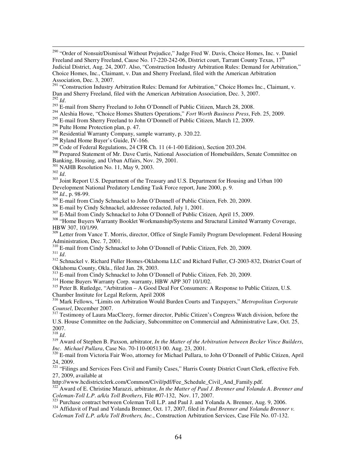<sup>290</sup> "Order of Nonsuit/Dismissal Without Prejudice," Judge Fred W. Davis, Choice Homes, Inc. v. Daniel Freeland and Sherry Freeland, Cause No. 17-220-242-06, District court, Tarrant County Texas, 17<sup>th</sup> Judicial District, Aug. 24, 2007. Also, "Construction Industry Arbitration Rules: Demand for Arbitration," Choice Homes, Inc., Claimant, v. Dan and Sherry Freeland, filed with the American Arbitration Association, Dec. 3, 2007.

<sup>291</sup> "Construction Industry Arbitration Rules: Demand for Arbitration," Choice Homes Inc., Claimant, v. Dan and Sherry Freeland, filed with the American Arbitration Association, Dec. 3, 2007. <sup>292</sup> *Id*.

<sup>293</sup> E-mail from Sherry Freeland to John O'Donnell of Public Citizen, March 28, 2008.

<sup>294</sup> Aleshia Howe, "Choice Homes Shutters Operations," *Fort Worth Business Press*, Feb. 25, 2009.

<sup>295</sup> E-mail from Sherry Freeland to John O'Donnell of Public Citizen, March 12, 2009.

<sup>296</sup> Pulte Home Protection plan, p. 47.

 $^{297}$  Residential Warranty Company, sample warranty, p. 320.22.

<sup>298</sup> Ryland Home Buyer's Guide, IV-166.

 $^{299}$  Code of Federal Regulations, 24 CFR Ch. 11 (4-1-00 Edition), Section 203.204.

<sup>300</sup> Prepared Statement of Mr. Dave Curtis, National Association of Homebuilders, Senate Committee on Banking, Housing, and Urban Affairs, Nov. 29, 2001.

<sup>301</sup> NAHB Resolution No. 11, May 9, 2003.

 $302$  *Id.* 

 $\overline{a}$ 

<sup>303</sup> Joint Report U.S. Department of the Treasury and U.S. Department for Housing and Urban 100 Development National Predatory Lending Task Force report, June 2000, p. 9.

<sup>304</sup> *Id*., p. 98-99.

<sup>305</sup> E-mail from Cindy Schnackel to John O'Donnell of Public Citizen, Feb. 20, 2009.

<sup>306</sup> E-mail by Cindy Schnackel, addressee redacted, July 1, 2001.

<sup>307</sup> E-Mail from Cindy Schnackel to John O'Donnell of Public Citizen, April 15, 2009.

<sup>308</sup> "Home Buyers Warranty Booklet Workmanship/Systems and Structural Limited Warranty Coverage, HBW 307, 10/1/99.

<sup>309</sup> Letter from Vance T. Morris, director, Office of Single Family Program Development. Federal Housing Administration, Dec. 7, 2001.

<sup>310</sup> E-mail from Cindy Schnackel to John O'Donnell of Public Citizen, Feb. 20, 2009. <sup>311</sup> *Id*.

<sup>312</sup> Schnackel v. Richard Fuller Homes-Oklahoma LLC and Richard Fuller, CJ-2003-832, District Court of Oklahoma County, Okla., filed Jan. 28, 2003.

<sup>313</sup> E-mail from Cindy Schnackel to John O'Donnell of Public Citizen, Feb. 20, 2009.

<sup>314</sup> Home Buyers Warranty Corp. warranty, HBW APP 307 10/1/02.

<sup>315</sup> Peter B. Rutledge, "Arbitration – A Good Deal For Consumers: A Response to Public Citizen, U.S. Chamber Institute for Legal Reform, April 2008

<sup>316</sup> Mark Fellows, "Limits on Arbitration Would Burden Courts and Taxpayers," *Metropolitan Corporate Counsel*, December 2007.

<sup>317</sup> Testimony of Laura MacCleery, former director, Public Citizen's Congress Watch division, before the U.S. House Committee on the Judiciary, Subcommittee on Commercial and Administrative Law, Oct. 25, 2007.

<sup>318</sup> *Id*.

<sup>319</sup> Award of Stephen B. Paxson, arbitrator, *In the Matter of the Arbitration between Becker Vince Builders*, *Inc*. *Michael Pullara*, Case No. 70-110-00513 00. Aug. 23, 2001.

<sup>320</sup> E-mail from Victoria Fair Woo, attorney for Michael Pullara, to John O'Donnell of Public Citizen, April 24, 2009.

<sup>321</sup> "Filings and Services Fees Civil and Family Cases," Harris County District Court Clerk, effective Feb. 27, 2009, available at

http://www.hcdistrictclerk.com/Common/Civil/pdf/Fee\_Schedule\_Civil\_And\_Family.pdf.

<sup>322</sup> Award of E. Christine Marazzi, arbitrator, *In the Matter of Paul J*. *Brenner and Yolanda A*. *Brenner and Coleman-Toll L*.*P*. *a/k/a Toll Brothers*, File #07-132, Nov. 17, 2007.

<sup>323</sup> Purchase contract between Coleman Toll L.P. and Paul J. and Yolanda A. Brenner, Aug. 9, 2006.

<sup>324</sup> Affidavit of Paul and Yolanda Brenner, Oct. 17, 2007, filed in *Paul Brenner and Yolanda Brenner v. Coleman Toll L.P. a/k/a Toll Brothers, Inc.*, Construction Arbitration Services, Case File No. 07-132.